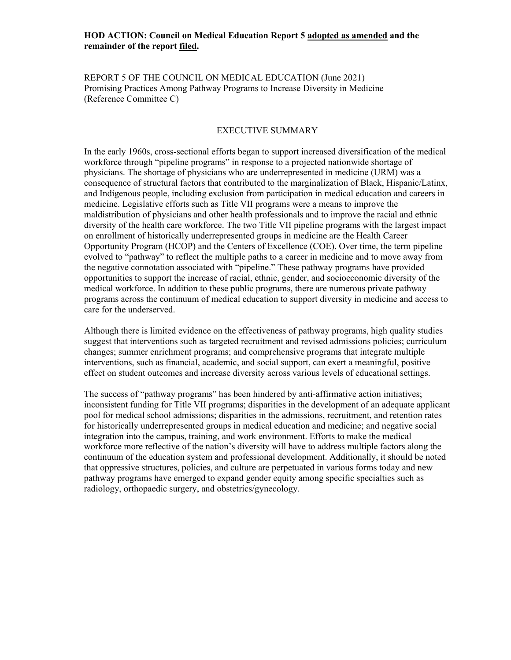# **HOD ACTION: Council on Medical Education Report 5 adopted as amended and the remainder of the report filed.**

REPORT 5 OF THE COUNCIL ON MEDICAL EDUCATION (June 2021) Promising Practices Among Pathway Programs to Increase Diversity in Medicine (Reference Committee C)

### EXECUTIVE SUMMARY

In the early 1960s, cross-sectional efforts began to support increased diversification of the medical workforce through "pipeline programs" in response to a projected nationwide shortage of physicians. The shortage of physicians who are underrepresented in medicine (URM) was a consequence of structural factors that contributed to the marginalization of Black, Hispanic/Latinx, and Indigenous people, including exclusion from participation in medical education and careers in medicine. Legislative efforts such as Title VII programs were a means to improve the maldistribution of physicians and other health professionals and to improve the racial and ethnic diversity of the health care workforce. The two Title VII pipeline programs with the largest impact on enrollment of historically underrepresented groups in medicine are the Health Career Opportunity Program (HCOP) and the Centers of Excellence (COE). Over time, the term pipeline evolved to "pathway" to reflect the multiple paths to a career in medicine and to move away from the negative connotation associated with "pipeline." These pathway programs have provided opportunities to support the increase of racial, ethnic, gender, and socioeconomic diversity of the medical workforce. In addition to these public programs, there are numerous private pathway programs across the continuum of medical education to support diversity in medicine and access to care for the underserved.

Although there is limited evidence on the effectiveness of pathway programs, high quality studies suggest that interventions such as targeted recruitment and revised admissions policies; curriculum changes; summer enrichment programs; and comprehensive programs that integrate multiple interventions, such as financial, academic, and social support, can exert a meaningful, positive effect on student outcomes and increase diversity across various levels of educational settings.

The success of "pathway programs" has been hindered by anti-affirmative action initiatives; inconsistent funding for Title VII programs; disparities in the development of an adequate applicant pool for medical school admissions; disparities in the admissions, recruitment, and retention rates for historically underrepresented groups in medical education and medicine; and negative social integration into the campus, training, and work environment. Efforts to make the medical workforce more reflective of the nation's diversity will have to address multiple factors along the continuum of the education system and professional development. Additionally, it should be noted that oppressive structures, policies, and culture are perpetuated in various forms today and new pathway programs have emerged to expand gender equity among specific specialties such as radiology, orthopaedic surgery, and obstetrics/gynecology.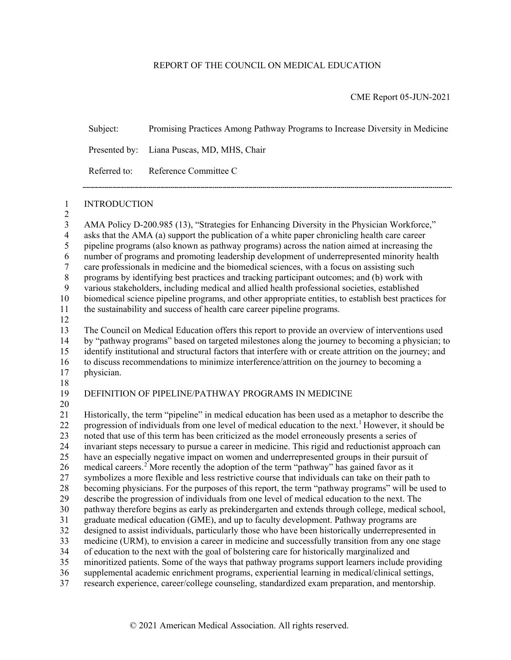# REPORT OF THE COUNCIL ON MEDICAL EDUCATION

CME Report 05-JUN-2021

Subject: Promising Practices Among Pathway Programs to Increase Diversity in Medicine

Presented by: Liana Puscas, MD, MHS, Chair

Referred to: Reference Committee C

INTRODUCTION

 $\frac{2}{3}$ AMA Policy D-200.985 (13), "Strategies for Enhancing Diversity in the Physician Workforce," asks that the AMA (a) support the publication of a white paper chronicling health care career pipeline programs (also known as pathway programs) across the nation aimed at increasing the number of programs and promoting leadership development of underrepresented minority health care professionals in medicine and the biomedical sciences, with a focus on assisting such programs by identifying best practices and tracking participant outcomes; and (b) work with various stakeholders, including medical and allied health professional societies, established biomedical science pipeline programs, and other appropriate entities, to establish best practices for the sustainability and success of health care career pipeline programs. The Council on Medical Education offers this report to provide an overview of interventions used by "pathway programs" based on targeted milestones along the journey to becoming a physician; to identify institutional and structural factors that interfere with or create attrition on the journey; and to discuss recommendations to minimize interference/attrition on the journey to becoming a physician. DEFINITION OF PIPELINE/PATHWAY PROGRAMS IN MEDICINE Historically, the term "pipeline" in medical education has been used as a metaphor to describe the 22 progression of individuals from one level of medical education to the next.<sup>[1](#page-22-0)</sup> However, it should be noted that use of this term has been criticized as the model erroneously presents a series of invariant steps necessary to pursue a career in medicine. This rigid and reductionist approach can have an especially negative impact on women and underrepresented groups in their pursuit of 6 medical careers.<sup>2</sup> More recently the adoption of the term "pathway" has gained favor as it symbolizes a more flexible and less restrictive course that individuals can take on their path to becoming physicians. For the purposes of this report, the term "pathway programs" will be used to describe the progression of individuals from one level of medical education to the next. The pathway therefore begins as early as prekindergarten and extends through college, medical school, graduate medical education (GME), and up to faculty development. Pathway programs are designed to assist individuals, particularly those who have been historically underrepresented in medicine (URM), to envision a career in medicine and successfully transition from any one stage of education to the next with the goal of bolstering care for historically marginalized and minoritized patients. Some of the ways that pathway programs support learners include providing supplemental academic enrichment programs, experiential learning in medical/clinical settings, research experience, career/college counseling, standardized exam preparation, and mentorship.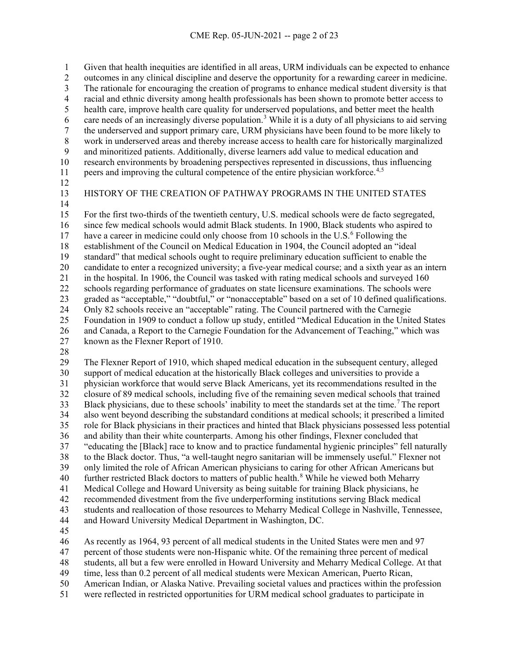Given that health inequities are identified in all areas, URM individuals can be expected to enhance 2 outcomes in any clinical discipline and deserve the opportunity for a rewarding career in medicine.<br>3 The rationale for encouraging the creation of programs to enhance medical student diversity is that The rationale for encouraging the creation of programs to enhance medical student diversity is that racial and ethnic diversity among health professionals has been shown to promote better access to health care, improve health care quality for underserved populations, and better meet the health 6 care needs of an increasingly diverse population.<sup>[3](#page-22-2)</sup> While it is a duty of all physicians to aid serving the underserved and support primary care, URM physicians have been found to be more likely to 8 work in underserved areas and thereby increase access to health care for historically marginalized<br>9 and minoritized patients. Additionally, diverse learners add value to medical education and and minoritized patients. Additionally, diverse learners add value to medical education and research environments by broadening perspectives represented in discussions, thus influencing

- peers and improving the cultural competence of the entire physician workforce.<sup>[4,](#page-22-3)[5](#page-22-4)</sup>
- 
- 

HISTORY OF THE CREATION OF PATHWAY PROGRAMS IN THE UNITED STATES

 For the first two-thirds of the twentieth century, U.S. medical schools were de facto segregated, since few medical schools would admit Black students. In 1900, Black students who aspired to 17 have a career in medicine could only choose from 10 schools in the U.S.<sup>[6](#page-22-5)</sup> Following the 18 establishment of the Council on Medical Education in 1904, the Council adopted an "ideal<br>19 standard" that medical schools ought to require preliminary education sufficient to enable t standard" that medical schools ought to require preliminary education sufficient to enable the candidate to enter a recognized university; a five-year medical course; and a sixth year as an intern in the hospital. In 1906, the Council was tasked with rating medical schools and surveyed 160 schools regarding performance of graduates on state licensure examinations. The schools were graded as "acceptable," "doubtful," or "nonacceptable" based on a set of 10 defined qualifications. Only 82 schools receive an "acceptable" rating. The Council partnered with the Carnegie Foundation in 1909 to conduct a follow up study, entitled "Medical Education in the United States and Canada, a Report to the Carnegie Foundation for the Advancement of Teaching," which was known as the Flexner Report of 1910.

 The Flexner Report of 1910, which shaped medical education in the subsequent century, alleged support of medical education at the historically Black colleges and universities to provide a physician workforce that would serve Black Americans, yet its recommendations resulted in the closure of 89 medical schools, including five of the remaining seven medical schools that trained Black physicians, due to these schools' inability to meet the standards set at the time.<sup>[7](#page-22-6)</sup> The report also went beyond describing the substandard conditions at medical schools; it prescribed a limited role for Black physicians in their practices and hinted that Black physicians possessed less potential and ability than their white counterparts. Among his other findings, Flexner concluded that "educating the [Black] race to know and to practice fundamental hygienic principles" fell naturally to the Black doctor. Thus, "a well-taught negro sanitarian will be immensely useful." Flexner not only limited the role of African American physicians to caring for other African Americans but 40 further restricted Black doctors to matters of public health.<sup>[8](#page-22-7)</sup> While he viewed both Meharry Medical College and Howard University as being suitable for training Black physicians, he recommended divestment from the five underperforming institutions serving Black medical students and reallocation of those resources to Meharry Medical College in Nashville, Tennessee, and Howard University Medical Department in Washington, DC.

As recently as 1964, 93 percent of all medical students in the United States were men and 97

percent of those students were non-Hispanic white. Of the remaining three percent of medical

students, all but a few were enrolled in Howard University and Meharry Medical College. At that

time, less than 0.2 percent of all medical students were Mexican American, Puerto Rican,

American Indian, or Alaska Native. Prevailing societal values and practices within the profession

were reflected in restricted opportunities for URM medical school graduates to participate in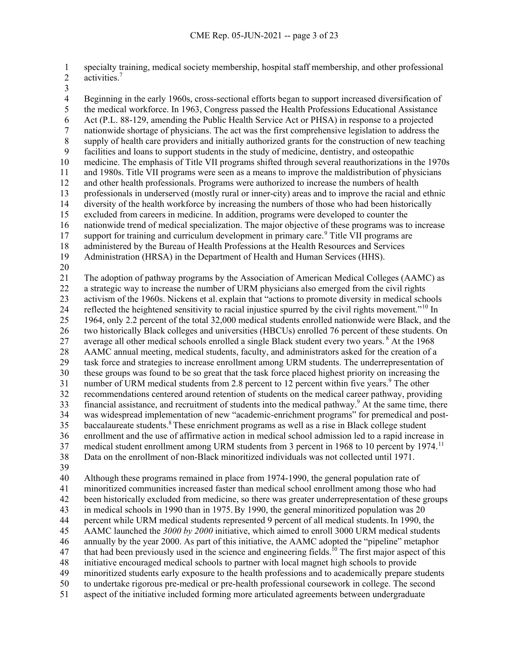specialty training, medical society membership, hospital staff membership, and other professional 2 activities.<sup>7</sup>

 Beginning in the early 1960s, cross-sectional efforts began to support increased diversification of the medical workforce. In 1963, Congress passed the Health Professions Educational Assistance Act (P.L. 88-129, amending the Public Health Service Act or PHSA) in response to a projected nationwide shortage of physicians. The act was the first comprehensive legislation to address the 8 supply of health care providers and initially authorized grants for the construction of new teaching<br>9 facilities and loans to support students in the study of medicine, dentistry, and osteopathic facilities and loans to support students in the study of medicine, dentistry, and osteopathic medicine. The emphasis of Title VII programs shifted through several reauthorizations in the 1970s and 1980s. Title VII programs were seen as a means to improve the maldistribution of physicians and other health professionals. Programs were authorized to increase the numbers of health professionals in underserved (mostly rural or inner-city) areas and to improve the racial and ethnic diversity of the health workforce by increasing the numbers of those who had been historically excluded from careers in medicine. In addition, programs were developed to counter the nationwide trend of medical specialization. The major objective of these programs was to increase 17 support for training and curriculum development in primary care.<sup>[9](#page-22-8)</sup> Title VII programs are 18 administered by the Bureau of Health Professions at the Health Resources and Services<br>19 Administration (HRSA) in the Department of Health and Human Services (HHS). Administration (HRSA) in the Department of Health and Human Services (HHS). The adoption of pathway programs by the Association of American Medical Colleges (AAMC) as a strategic way to increase the number of URM physicians also emerged from the civil rights activism of the 1960s. Nickens et al. explain that "actions to promote diversity in medical schools 24 reflected the heightened sensitivity to racial injustice spurred by the civil rights movement."<sup>[10](#page-22-9)</sup> In 1964, only 2.2 percent of the total 32,000 medical students enrolled nationwide were Black, and the two historically Black colleges and universities (HBCUs) enrolled 76 percent of these students. On 27 average all other medical schools enrolled a single Black student every two years. At the 1968 AAMC annual meeting, medical students, faculty, and administrators asked for the creation of a task force and strategies to increase enrollment among URM students. The underrepresentation of these groups was found to be so great that the task force placed highest priority on increasing the 31 number of URM medical students from 2.8 percent to 12 percent within five years.<sup>9</sup> The other recommendations centered around retention of students on the medical career pathway, providing 33 financial assistance, and recruitment of students into the medical pathway.<sup>9</sup> At the same time, there was widespread implementation of new "academic-enrichment programs" for premedical and post-35 baccalaureate students.<sup>8</sup> These enrichment programs as well as a rise in Black college student enrollment and the use of affirmative action in medical school admission led to a rapid increase in 37 medical student enrollment among URM students from 3 percent in 1968 to 10 percent by 1974.<sup>[11](#page-22-10)</sup> Data on the enrollment of non-Black minoritized individuals was not collected until 1971. Although these programs remained in place from 1974-1990, the general population rate of

 minoritized communities increased faster than medical school enrollment among those who had been historically excluded from medicine, so there was greater underrepresentation of these groups in medical schools in 1990 than in 1975.By 1990, the general minoritized population was 20 percent while URM medical students represented 9 percent of all medical students.In 1990, the AAMC launched the *3000 by 2000* initiative, which aimed to enroll 3000 URM medical students annually by the year 2000. As part of this initiative, the AAMC adopted the "pipeline" metaphor 47 that had been previously used in the science and engineering fields.<sup>10</sup> The first major aspect of this initiative encouraged medical schools to partner with local magnet high schools to provide minoritized students early exposure to the health professions and to academically prepare students to undertake rigorous pre-medical or pre-health professional coursework in college. The second aspect of the initiative included forming more articulated agreements between undergraduate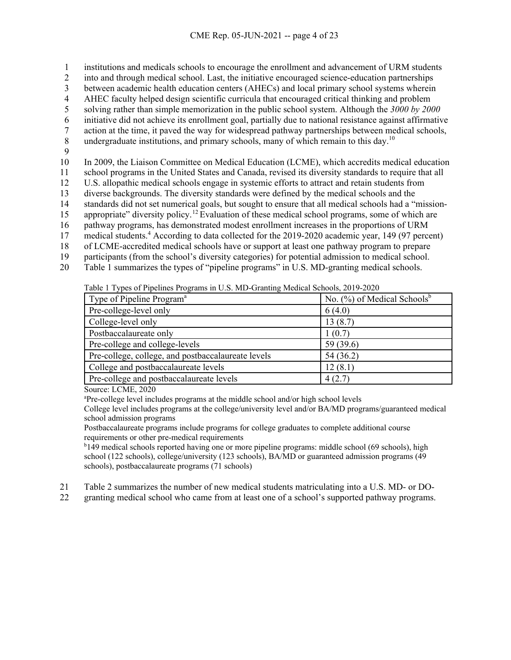1 institutions and medicals schools to encourage the enrollment and advancement of URM students

2 into and through medical school. Last, the initiative encouraged science-education partnerships

3 between academic health education centers (AHECs) and local primary school systems wherein

4 AHEC faculty helped design scientific curricula that encouraged critical thinking and problem

5 solving rather than simple memorization in the public school system. Although the *3000 by 2000*

6 initiative did not achieve its enrollment goal, partially due to national resistance against affirmative

7 action at the time, it paved the way for widespread pathway partnerships between medical schools,<br>8 undergraduate institutions, and primary schools, many of which remain to this day.<sup>10</sup>

- 8 undergraduate institutions, and primary schools, many of which remain to this day.<sup>10</sup>
- 9

10 In 2009, the Liaison Committee on Medical Education (LCME), which accredits medical education

11 school programs in the United States and Canada, revised its diversity standards to require that all

- 12 U.S. allopathic medical schools engage in systemic efforts to attract and retain students from
- 13 diverse backgrounds. The diversity standards were defined by the medical schools and the

14 standards did not set numerical goals, but sought to ensure that all medical schools had a "mission-

- 15 appropriate" diversity policy.<sup>[12](#page-22-11)</sup> Evaluation of these medical school programs, some of which are
- 16 pathway programs, has demonstrated modest enrollment increases in the proportions of URM
- 17 medical students.<sup>4</sup> According to data collected for the 2019-2020 academic year, 149 (97 percent)
- 18 of LCME-accredited medical schools have or support at least one pathway program to prepare 19 participants (from the school's diversity categories) for potential admission to medical school.
- 20 Table 1 summarizes the types of "pipeline programs" in U.S. MD-granting medical schools.

Table 1 Types of Pipelines Programs in U.S. MD-Granting Medical Schools, 2019-2020

| Type of Pipeline Program <sup>a</sup>              | No. $(\%)$ of Medical Schools <sup>b</sup> |
|----------------------------------------------------|--------------------------------------------|
| Pre-college-level only                             | 6(4.0)                                     |
| College-level only                                 | 13(8.7)                                    |
| Postbaccalaureate only                             | 1(0.7)                                     |
| Pre-college and college-levels                     | 59 (39.6)                                  |
| Pre-college, college, and postbaccalaureate levels | 54 (36.2)                                  |
| College and postbaccalaureate levels               | 12(8.1)                                    |
| Pre-college and postbaccalaureate levels           | 4(2.7)                                     |

Source: LCME, 2020

a Pre-college level includes programs at the middle school and/or high school levels

College level includes programs at the college/university level and/or BA/MD programs/guaranteed medical school admission programs

Postbaccalaureate programs include programs for college graduates to complete additional course requirements or other pre-medical requirements

<sup>b</sup>149 medical schools reported having one or more pipeline programs: middle school (69 schools), high school (122 schools), college/university (123 schools), BA/MD or guaranteed admission programs (49 schools), postbaccalaureate programs (71 schools)

21 Table 2 summarizes the number of new medical students matriculating into a U.S. MD- or DO-

22 granting medical school who came from at least one of a school's supported pathway programs.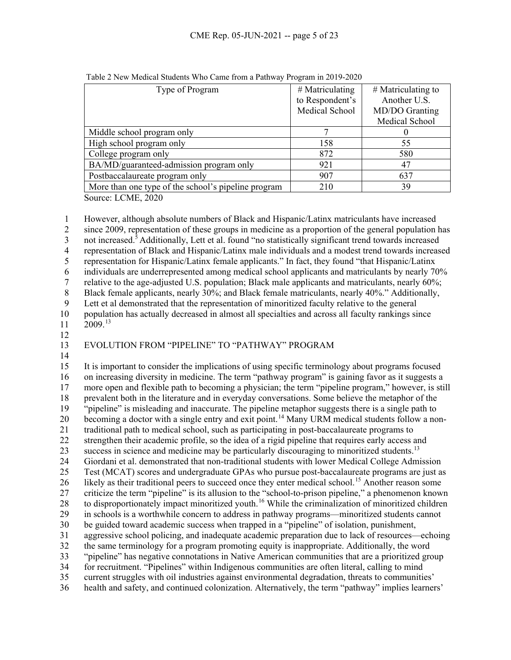| Type of Program                                     | $#$ Matriculating | $#$ Matriculating to |
|-----------------------------------------------------|-------------------|----------------------|
|                                                     | to Respondent's   | Another U.S.         |
|                                                     | Medical School    | MD/DO Granting       |
|                                                     |                   | Medical School       |
| Middle school program only                          |                   |                      |
| High school program only                            | 158               | 55                   |
| College program only                                | 872               | 580                  |
| BA/MD/guaranteed-admission program only             | 921               | 47                   |
| Postbaccalaureate program only                      | 907               | 637                  |
| More than one type of the school's pipeline program | 210               | 39                   |

Table 2 New Medical Students Who Came from a Pathway Program in 2019-2020

Source: LCME, 2020

1 However, although absolute numbers of Black and Hispanic/Latinx matriculants have increased 2 since 2009, representation of these groups in medicine as a proportion of the general population has 3 not increased.<sup>5</sup> Additionally, Lett et al. found "no statistically significant trend towards increased 4 representation of Black and Hispanic/Latinx male individuals and a modest trend towards increased<br>5 representation for Hispanic/Latinx female applicants." In fact, they found "that Hispanic/Latinx" 5 representation for Hispanic/Latinx female applicants." In fact, they found "that Hispanic/Latinx 6 individuals are underrepresented among medical school applicants and matriculants by nearly 70% 7 relative to the age-adjusted U.S. population; Black male applicants and matriculants, nearly 60%; 8 Black female applicants, nearly 30%; and Black female matriculants, nearly 40%." Additionally,<br>9 Lett et al demonstrated that the representation of minoritized faculty relative to the general Lett et al demonstrated that the representation of minoritized faculty relative to the general 10 population has actually decreased in almost all specialties and across all faculty rankings since  $11 \quad 2009$ <sup>[13](#page-22-12)</sup>

12

# 13 EVOLUTION FROM "PIPELINE" TO "PATHWAY" PROGRAM

14

 It is important to consider the implications of using specific terminology about programs focused on increasing diversity in medicine. The term "pathway program" is gaining favor as it suggests a more open and flexible path to becoming a physician; the term "pipeline program," however, is still 18 prevalent both in the literature and in everyday conversations. Some believe the metaphor of the "pipeline" is misleading and inaccurate. The pipeline metaphor suggests there is a single path to "pipeline" is misleading and inaccurate. The pipeline metaphor suggests there is a single path to 20 becoming a doctor with a single entry and exit point.<sup>[14](#page-22-13)</sup> Many URM medical students follow a non- traditional path to medical school, such as participating in post-baccalaureate programs to strengthen their academic profile, so the idea of a rigid pipeline that requires early access and 23 success in science and medicine may be particularly discouraging to minoritized students.<sup>13</sup> Giordani et al. demonstrated that non-traditional students with lower Medical College Admission Test (MCAT) scores and undergraduate GPAs who pursue post-baccalaureate programs are just as 26 likely as their traditional peers to succeed once they enter medical school.<sup>[15](#page-23-0)</sup> Another reason some criticize the term "pipeline" is its allusion to the "school-to-prison pipeline," a phenomenon known 28 to disproportionately impact minoritized youth.<sup>[16](#page-23-1)</sup> While the criminalization of minoritized children in schools is a worthwhile concern to address in pathway programs—minoritized students cannot be guided toward academic success when trapped in a "pipeline" of isolation, punishment, aggressive school policing, and inadequate academic preparation due to lack of resources—echoing the same terminology for a program promoting equity is inappropriate. Additionally, the word "pipeline" has negative connotations in Native American communities that are a prioritized group for recruitment. "Pipelines" within Indigenous communities are often literal, calling to mind current struggles with oil industries against environmental degradation, threats to communities' health and safety, and continued colonization. Alternatively, the term "pathway" implies learners'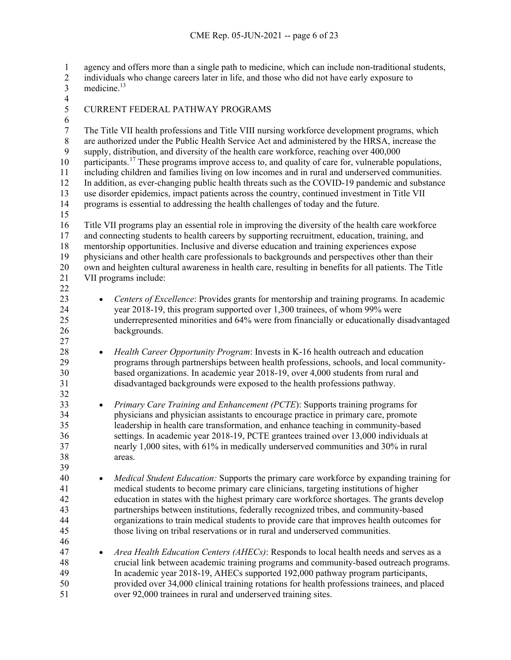agency and offers more than a single path to medicine, which can include non-traditional students,

- 2 individuals who change careers later in life, and those who did not have early exposure to medicine.<sup>13</sup> 3 medicine.<sup>13</sup>
- 
- CURRENT FEDERAL PATHWAY PROGRAMS
- 6<br>7

7 The Title VII health professions and Title VIII nursing workforce development programs, which<br>8 are authorized under the Public Health Service Act and administered by the HRSA, increase the 8 are authorized under the Public Health Service Act and administered by the HRSA, increase the<br>9 supply, distribution, and diversity of the health care workforce, reaching over 400,000 supply, distribution, and diversity of the health care workforce, reaching over 400,000 10 participants.<sup>[17](#page-23-2)</sup> These programs improve access to, and quality of care for, vulnerable populations, including children and families living on low incomes and in rural and underserved communities. In addition, as ever-changing public health threats such as the COVID-19 pandemic and substance use disorder epidemics, impact patients across the country, continued investment in Title VII programs is essential to addressing the health challenges of today and the future. Title VII programs play an essential role in improving the diversity of the health care workforce and connecting students to health careers by supporting recruitment, education, training, and

18 mentorship opportunities. Inclusive and diverse education and training experiences expose<br>19 physicians and other health care professionals to backgrounds and perspectives other than t

- physicians and other health care professionals to backgrounds and perspectives other than their own and heighten cultural awareness in health care, resulting in benefits for all patients. The Title VII programs include:
- 
- 

- *Centers of Excellence*: Provides grants for mentorship and training programs. In academic year 2018-19, this program supported over 1,300 trainees, of whom 99% were underrepresented minorities and 64% were from financially or educationally disadvantaged backgrounds.
- *Health Career Opportunity Program*: Invests in K-16 health outreach and education programs through partnerships between health professions, schools, and local community- based organizations. In academic year 2018-19, over 4,000 students from rural and disadvantaged backgrounds were exposed to the health professions pathway.
- *Primary Care Training and Enhancement (PCTE*): Supports training programs for physicians and physician assistants to encourage practice in primary care, promote leadership in health care transformation, and enhance teaching in community-based settings. In academic year 2018-19, PCTE grantees trained over 13,000 individuals at nearly 1,000 sites, with 61% in medically underserved communities and 30% in rural areas.
- *Medical Student Education:* Supports the primary care workforce by expanding training for medical students to become primary care clinicians, targeting institutions of higher education in states with the highest primary care workforce shortages. The grants develop partnerships between institutions, federally recognized tribes, and community-based organizations to train medical students to provide care that improves health outcomes for those living on tribal reservations or in rural and underserved communities.
- *Area Health Education Centers (AHECs)*: Responds to local health needs and serves as a crucial link between academic training programs and community-based outreach programs. In academic year 2018-19, AHECs supported 192,000 pathway program participants, provided over 34,000 clinical training rotations for health professions trainees, and placed over 92,000 trainees in rural and underserved training sites.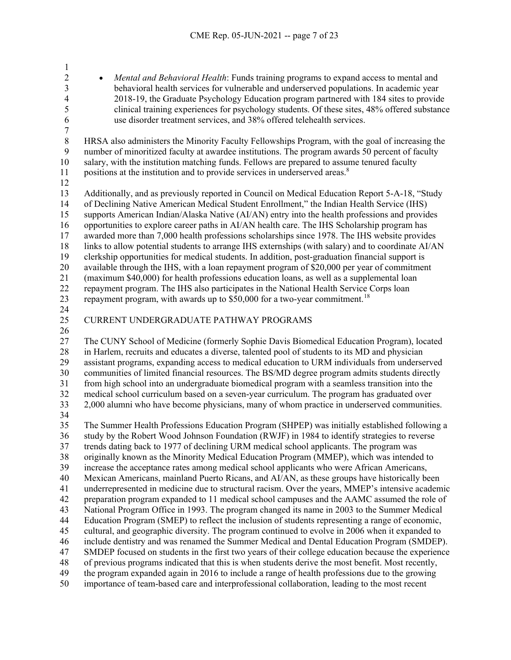<sup>2</sup> *• Mental and Behavioral Health*: Funds training programs to expand access to mental and<br><sup>3</sup> behavioral health services for vulnerable and underserved populations. In academic vear 3 behavioral health services for vulnerable and underserved populations. In academic year<br>2018-19, the Graduate Psychology Education program partnered with 184 sites to provide 2018-19, the Graduate Psychology Education program partnered with 184 sites to provide 5 clinical training experiences for psychology students. Of these sites, 48% offered substance<br>6 use disorder treatment services, and 38% offered telehealth services. use disorder treatment services, and 38% offered telehealth services.  $\frac{7}{8}$ 8 HRSA also administers the Minority Faculty Fellowships Program, with the goal of increasing the<br>9 number of minoritized faculty at awardee institutions. The program awards 50 percent of faculty number of minoritized faculty at awardee institutions. The program awards 50 percent of faculty

salary, with the institution matching funds. Fellows are prepared to assume tenured faculty

11 positions at the institution and to provide services in underserved areas.<sup>8</sup> 

- Additionally, and as previously reported in Council on Medical Education Report 5-A-18, "Study of Declining Native American Medical Student Enrollment," the Indian Health Service (IHS) supports American Indian/Alaska Native (AI/AN) entry into the health professions and provides opportunities to explore career paths in AI/AN health care. The IHS Scholarship program has awarded more than 7,000 health professions scholarships since 1978. The IHS website provides 18 links to allow potential students to arrange IHS externships (with salary) and to coordinate AI/AN clerkship opportunities for medical students. In addition, post-graduation financial support is clerkship opportunities for medical students. In addition, post-graduation financial support is available through the IHS, with a loan repayment program of \$20,000 per year of commitment (maximum \$40,000) for health professions education loans, as well as a supplemental loan repayment program. The IHS also participates in the National Health Service Corps loan 23 repayment program, with awards up to \$50,000 for a two-year commitment.<sup>[18](#page-23-3)</sup>
- 

CURRENT UNDERGRADUATE PATHWAY PROGRAMS

 The CUNY School of Medicine (formerly Sophie Davis Biomedical Education Program), located in Harlem, recruits and educates a diverse, talented pool of students to its MD and physician assistant programs, expanding access to medical education to URM individuals from underserved communities of limited financial resources. The BS/MD degree program admits students directly from high school into an undergraduate biomedical program with a seamless transition into the medical school curriculum based on a seven-year curriculum. The program has graduated over 2,000 alumni who have become physicians, many of whom practice in underserved communities. The Summer Health Professions Education Program (SHPEP) was initially established following a

 study by the Robert Wood Johnson Foundation (RWJF) in 1984 to identify strategies to reverse trends dating back to 1977 of declining URM medical school applicants. The program was originally known as the Minority Medical Education Program (MMEP), which was intended to increase the acceptance rates among medical school applicants who were African Americans, Mexican Americans, mainland Puerto Ricans, and AI/AN, as these groups have historically been underrepresented in medicine due to structural racism. Over the years, MMEP's intensive academic preparation program expanded to 11 medical school campuses and the AAMC assumed the role of National Program Office in 1993. The program changed its name in 2003 to the Summer Medical Education Program (SMEP) to reflect the inclusion of students representing a range of economic, cultural, and geographic diversity. The program continued to evolve in 2006 when it expanded to include dentistry and was renamed the Summer Medical and Dental Education Program (SMDEP). SMDEP focused on students in the first two years of their college education because the experience of previous programs indicated that this is when students derive the most benefit. Most recently, the program expanded again in 2016 to include a range of health professions due to the growing importance of team-based care and interprofessional collaboration, leading to the most recent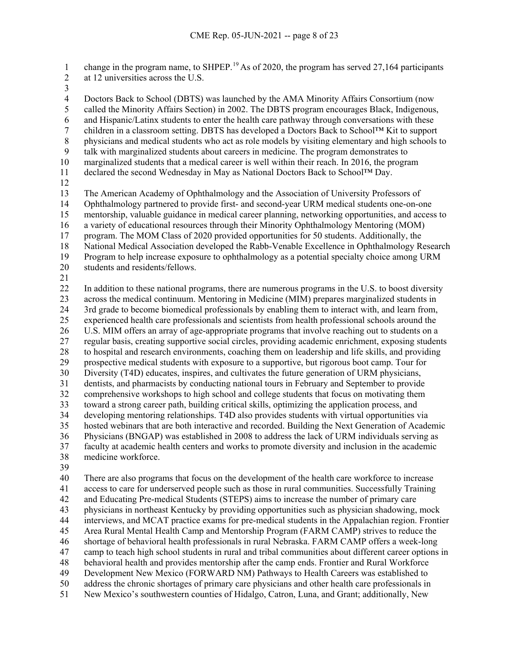1 change in the program name, to SHPEP.<sup>[19](#page-23-4)</sup> As of 2020, the program has served 27,164 participants at 12 universities across the U.S.

 Doctors Back to School (DBTS) was launched by the AMA Minority Affairs Consortium (now 5 called the Minority Affairs Section) in 2002. The DBTS program encourages Black, Indigenous,<br>6 and Hispanic/Latinx students to enter the health care pathway through conversations with these and Hispanic/Latinx students to enter the health care pathway through conversations with these children in a classroom setting. DBTS has developed a Doctors Back to School™ Kit to support 8 physicians and medical students who act as role models by visiting elementary and high schools to talk with marginalized students about careers in medicine. The program demonstrates to talk with marginalized students about careers in medicine. The program demonstrates to marginalized students that a medical career is well within their reach. In 2016, the program declared the second Wednesday in May as National Doctors Back to School™ Day. The American Academy of Ophthalmology and the Association of University Professors of Ophthalmology partnered to provide first- and second-year URM medical students one-on-one mentorship, valuable guidance in medical career planning, networking opportunities, and access to a variety of educational resources through their Minority Ophthalmology Mentoring (MOM) program. The MOM Class of 2020 provided opportunities for 50 students. Additionally, the 18 National Medical Association developed the Rabb-Venable Excellence in Ophthalmology Research<br>19 Program to help increase exposure to ophthalmology as a potential specialty choice among URM Program to help increase exposure to ophthalmology as a potential specialty choice among URM students and residents/fellows. In addition to these national programs, there are numerous programs in the U.S. to boost diversity across the medical continuum. Mentoring in Medicine (MIM) prepares marginalized students in 3rd grade to become biomedical professionals by enabling them to interact with, and learn from, experienced health care professionals and scientists from health professional schools around the U.S. MIM offers an array of age-appropriate programs that involve reaching out to students on a regular basis, creating supportive social circles, providing academic enrichment, exposing students to hospital and research environments, coaching them on leadership and life skills, and providing prospective medical students with exposure to a supportive, but rigorous boot camp. Tour for Diversity (T4D) educates, inspires, and cultivates the future generation of URM physicians, dentists, and pharmacists by conducting national tours in February and September to provide comprehensive workshops to high school and college students that focus on motivating them toward a strong career path, building critical skills, optimizing the application process, and developing mentoring relationships. T4D also provides students with virtual opportunities via hosted webinars that are both interactive and recorded. Building the Next Generation of Academic Physicians (BNGAP) was established in 2008 to address the lack of URM individuals serving as faculty at academic health centers and works to promote diversity and inclusion in the academic

- medicine workforce.
- 

 There are also programs that focus on the development of the health care workforce to increase access to care for underserved people such as those in rural communities. Successfully Training and Educating Pre-medical Students (STEPS) aims to increase the number of primary care 43 physicians in northeast Kentucky by providing opportunities such as physician shadowing, mock<br>44 interviews, and MCAT practice exams for pre-medical students in the Appalachian region. Fronti interviews, and MCAT practice exams for pre-medical students in the Appalachian region. Frontier Area Rural Mental Health Camp and Mentorship Program (FARM CAMP) strives to reduce the shortage of behavioral health professionals in rural Nebraska. FARM CAMP offers a week-long camp to teach high school students in rural and tribal communities about different career options in behavioral health and provides mentorship after the camp ends. Frontier and Rural Workforce Development New Mexico (FORWARD NM) Pathways to Health Careers was established to address the chronic shortages of primary care physicians and other health care professionals in New Mexico's southwestern counties of Hidalgo, Catron, Luna, and Grant; additionally, New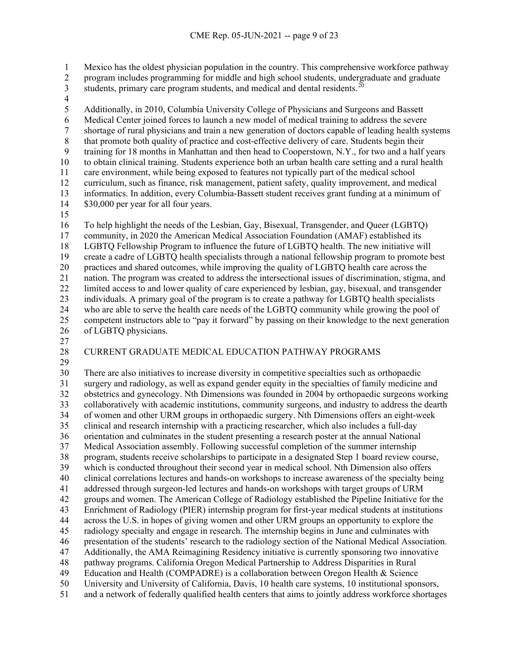Mexico has the oldest physician population in the country. This comprehensive workforce pathway

- 2 program includes programming for middle and high school students, undergraduate and graduate<br>3 students, primary care program students, and medical and dental residents.<sup>20</sup>
- 3 students, primary care program students, and medical and dental residents.<sup>[20](#page-23-5)</sup>
- 

5 Additionally, in 2010, Columbia University College of Physicians and Surgeons and Bassett<br>6 Medical Center joined forces to launch a new model of medical training to address the severe Medical Center joined forces to launch a new model of medical training to address the severe 7 shortage of rural physicians and train a new generation of doctors capable of leading health systems<br>8 that promote both quality of practice and cost-effective delivery of care. Students begin their 8 that promote both quality of practice and cost-effective delivery of care. Students begin their<br>9 training for 18 months in Manhattan and then head to Cooperstown, N.Y., for two and a half training for 18 months in Manhattan and then head to Cooperstown, N.Y., for two and a half years to obtain clinical training. Students experience both an urban health care setting and a rural health care environment, while being exposed to features not typically part of the medical school curriculum, such as finance, risk management, patient safety, quality improvement, and medical informatics. In addition, every Columbia-Bassett student receives grant funding at a minimum of \$30,000 per year for all four years.

 To help highlight the needs of the Lesbian, Gay, Bisexual, Transgender, and Queer (LGBTQ) community, in 2020 the American Medical Association Foundation (AMAF) established its 18 LGBTQ Fellowship Program to influence the future of LGBTQ health. The new initiative will<br>19 create a cadre of LGBTQ health specialists through a national fellowship program to promote b create a cadre of LGBTQ health specialists through a national fellowship program to promote best practices and shared outcomes, while improving the quality of LGBTQ health care across the nation. The program was created to address the intersectional issues of discrimination, stigma, and limited access to and lower quality of care experienced by lesbian, gay, bisexual, and transgender individuals. A primary goal of the program is to create a pathway for LGBTQ health specialists who are able to serve the health care needs of the LGBTQ community while growing the pool of competent instructors able to "pay it forward" by passing on their knowledge to the next generation of LGBTQ physicians.

# CURRENT GRADUATE MEDICAL EDUCATION PATHWAY PROGRAMS

 There are also initiatives to increase diversity in competitive specialties such as orthopaedic surgery and radiology, as well as expand gender equity in the specialties of family medicine and obstetrics and gynecology. Nth Dimensions was founded in 2004 by orthopaedic surgeons working collaboratively with academic institutions, community surgeons, and industry to address the dearth of women and other URM groups in orthopaedic surgery. Nth Dimensions offers an eight-week clinical and research internship with a practicing researcher, which also includes a full-day orientation and culminates in the student presenting a research poster at the annual National Medical Association assembly. Following successful completion of the summer internship program, students receive scholarships to participate in a designated Step 1 board review course, which is conducted throughout their second year in medical school. Nth Dimension also offers clinical correlations lectures and hands-on workshops to increase awareness of the specialty being addressed through surgeon-led lectures and hands-on workshops with target groups of URM groups and women. The American College of Radiology established the Pipeline Initiative for the 43 Enrichment of Radiology (PIER) internship program for first-year medical students at institutions<br>44 across the U.S. in hopes of giving women and other URM groups an opportunity to explore the across the U.S. in hopes of giving women and other URM groups an opportunity to explore the radiology specialty and engage in research. The internship begins in June and culminates with presentation of the students' research to the radiology section of the National Medical Association. Additionally, the AMA Reimagining Residency initiative is currently sponsoring two innovative pathway programs. California Oregon Medical Partnership to Address Disparities in Rural Education and Health (COMPADRE) is a collaboration between Oregon Health & Science University and University of California, Davis, 10 health care systems, 10 institutional sponsors, and a network of federally qualified health centers that aims to jointly address workforce shortages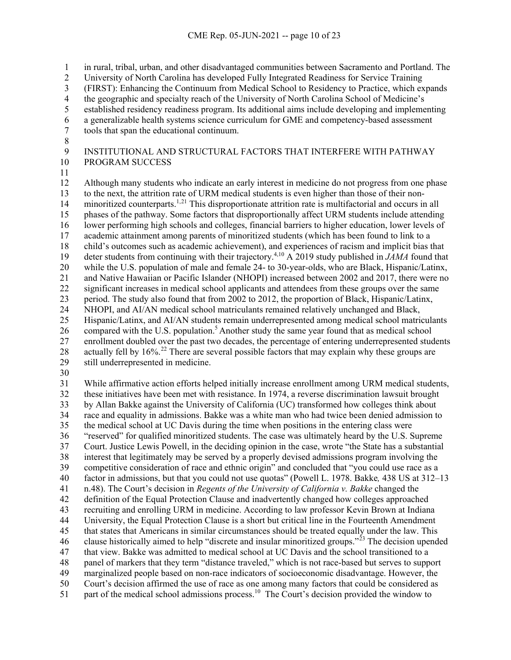in rural, tribal, urban, and other disadvantaged communities between Sacramento and Portland. The

University of North Carolina has developed Fully Integrated Readiness for Service Training

- (FIRST): Enhancing the Continuum from Medical School to Residency to Practice, which expands
- the geographic and specialty reach of the University of North Carolina School of Medicine's
- established residency readiness program. Its additional aims include developing and implementing
- a generalizable health systems science curriculum for GME and competency-based assessment
- tools that span the educational continuum.
- 8<br>9

 INSTITUTIONAL AND STRUCTURAL FACTORS THAT INTERFERE WITH PATHWAY PROGRAM SUCCESS

 Although many students who indicate an early interest in medicine do not progress from one phase to the next, the attrition rate of URM medical students is even higher than those of their non-14 minoritized counterparts.<sup>1,[21](#page-23-6)</sup> This disproportionate attrition rate is multifactorial and occurs in all phases of the pathway. Some factors that disproportionally affect URM students include attending lower performing high schools and colleges, financial barriers to higher education, lower levels of academic attainment among parents of minoritized students (which has been found to link to a 18 child's outcomes such as academic achievement), and experiences of racism and implicit bias that deter students from continuing with their trajectory.<sup>4,10</sup> A 2019 study published in *JAMA* found that 19 deter students from continuing with their trajectory.<sup>4,10</sup> A 2019 study published in *JAMA* found that while the U.S. population of male and female 24- to 30-year-olds, who are Black, Hispanic/Latinx, and Native Hawaiian or Pacific Islander (NHOPI) increased between 2002 and 2017, there were no significant increases in medical school applicants and attendees from these groups over the same period. The study also found that from 2002 to 2012, the proportion of Black, Hispanic/Latinx, NHOPI, and AI/AN medical school matriculants remained relatively unchanged and Black, Hispanic/Latinx, and AI/AN students remain underrepresented among medical school matriculants 26 compared with the U.S. population.<sup>5</sup> Another study the same year found that as medical school enrollment doubled over the past two decades, the percentage of entering underrepresented students 28 actually fell by 16%.<sup>[22](#page-23-7)</sup> There are several possible factors that may explain why these groups are still underrepresented in medicine.

 While affirmative action efforts helped initially increase enrollment among URM medical students, these initiatives have been met with resistance. In 1974, a reverse discrimination lawsuit brought by Allan Bakke against the University of California (UC) transformed how colleges think about race and equality in admissions. Bakke was a white man who had twice been denied admission to the medical school at UC Davis during the time when positions in the entering class were "reserved" for qualified minoritized students. The case was ultimately heard by the U.S. Supreme Court. Justice Lewis Powell, in the deciding opinion in the case, wrote "the State has a substantial interest that legitimately may be served by a properly devised admissions program involving the competitive consideration of race and ethnic origin" and concluded that "you could use race as a factor in admissions, but that you could not use quotas" (Powell L. 1978. Bakke*,* 438 US at 312–13 n.48). The Court's decision in *Regents of the University of California v. Bakke* changed the definition of the Equal Protection Clause and inadvertently changed how colleges approached recruiting and enrolling URM in medicine. According to law professor Kevin Brown at Indiana University, the Equal Protection Clause is a short but critical line in the Fourteenth Amendment that states that Americans in similar circumstances should be treated equally under the law. This 46 clause historically aimed to help "discrete and insular minoritized groups."<sup>[23](#page-23-8)</sup> The decision upended that view. Bakke was admitted to medical school at UC Davis and the school transitioned to a panel of markers that they term "distance traveled," which is not race-based but serves to support marginalized people based on non-race indicators of socioeconomic disadvantage. However, the Court's decision affirmed the use of race as one among many factors that could be considered as 51 part of the medical school admissions process.<sup>10</sup> The Court's decision provided the window to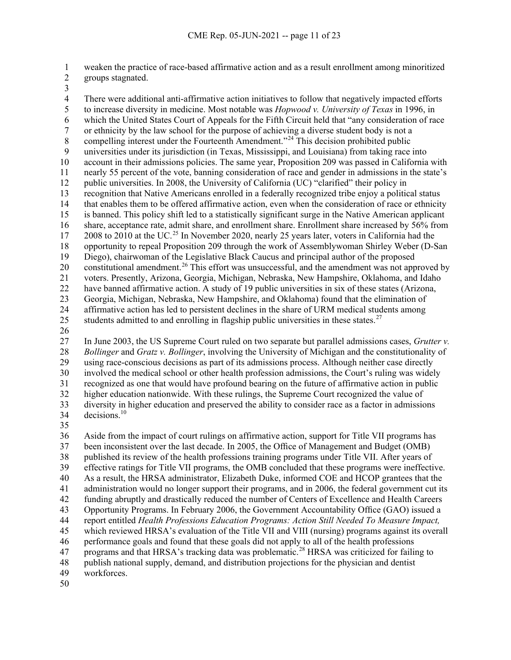weaken the practice of race-based affirmative action and as a result enrollment among minoritized groups stagnated.

 There were additional anti-affirmative action initiatives to follow that negatively impacted efforts to increase diversity in medicine. Most notable was *Hopwood v. University of Texas* in 1996, in which the United States Court of Appeals for the Fifth Circuit held that "any consideration of race 7 or ethnicity by the law school for the purpose of achieving a diverse student body is not a<br>8 compelling interest under the Fourteenth Amendment."<sup>24</sup> This decision prohibited public 8 compelling interest under the Fourteenth Amendment."<sup>[24](#page-23-9)</sup> This decision prohibited public<br>9 universities under its iurisdiction (in Texas, Mississippi, and Louisiana) from taking race universities under its jurisdiction (in Texas, Mississippi, and Louisiana) from taking race into account in their admissions policies. The same year, Proposition 209 was passed in California with nearly 55 percent of the vote, banning consideration of race and gender in admissions in the state's public universities. In 2008, the University of California (UC) "clarified" their policy in recognition that Native Americans enrolled in a federally recognized tribe enjoy a political status that enables them to be offered affirmative action, even when the consideration of race or ethnicity is banned. This policy shift led to a statistically significant surge in the Native American applicant share, acceptance rate, admit share, and enrollment share. Enrollment share increased by 56% from 2008 to 2010 at the UC.<sup>[25](#page-23-10)</sup> In November 2020, nearly 25 years later, voters in California had the 18 opportunity to repeal Proposition 209 through the work of Assemblywoman Shirley Weber (D-San 19 Diego), chairwoman of the Legislative Black Caucus and principal author of the proposed Diego), chairwoman of the Legislative Black Caucus and principal author of the proposed 20 constitutional amendment.<sup>[26](#page-23-11)</sup> This effort was unsuccessful, and the amendment was not approved by voters. Presently, Arizona, Georgia, Michigan, Nebraska, New Hampshire, Oklahoma, and Idaho have banned affirmative action. A study of 19 public universities in six of these states (Arizona, Georgia, Michigan, Nebraska, New Hampshire, and Oklahoma) found that the elimination of affirmative action has led to persistent declines in the share of URM medical students among 25 students admitted to and enrolling in flagship public universities in these states.<sup>[27](#page-23-12)</sup>

 In June 2003, the US Supreme Court ruled on two separate but parallel admissions cases, *Grutter v. Bollinger* and *Gratz v. Bollinger*, involving the University of Michigan and the constitutionality of using race-conscious decisions as part of its admissions process. Although neither case directly involved the medical school or other health profession admissions, the Court's ruling was widely recognized as one that would have profound bearing on the future of affirmative action in public higher education nationwide. With these rulings, the Supreme Court recognized the value of diversity in higher education and preserved the ability to consider race as a factor in admissions decisions. <sup>10</sup>

 Aside from the impact of court rulings on affirmative action, support for Title VII programs has been inconsistent over the last decade. In 2005, the Office of Management and Budget (OMB) published its review of the health professions training programs under Title VII. After years of effective ratings for Title VII programs, the OMB concluded that these programs were ineffective. As a result, the HRSA administrator, Elizabeth Duke, informed COE and HCOP grantees that the administration would no longer support their programs, and in 2006, the federal government cut its funding abruptly and drastically reduced the number of Centers of Excellence and Health Careers Opportunity Programs. In February 2006, the Government Accountability Office (GAO) issued a report entitled *Health Professions Education Programs: Action Still Needed To Measure Impact,* which reviewed HRSA's evaluation of the Title VII and VIII (nursing) programs against its overall performance goals and found that these goals did not apply to all of the health professions  $\frac{1}{2}$  programs and that HRSA's tracking data was problematic.<sup>[28](#page-23-13)</sup> HRSA was criticized for failing to publish national supply, demand, and distribution projections for the physician and dentist workforces.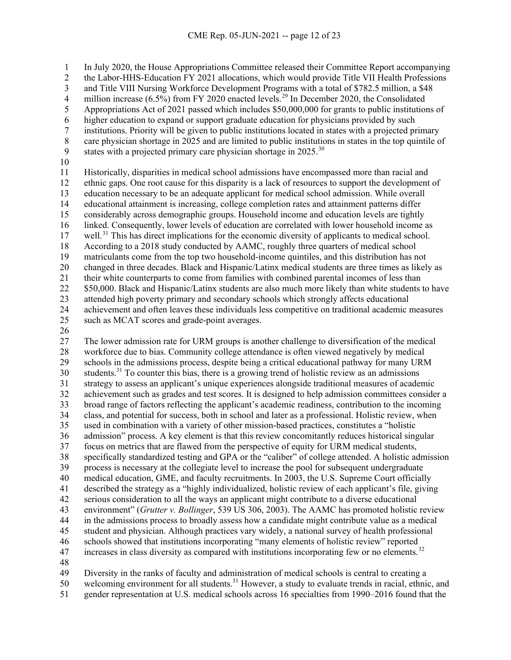In July 2020, the House Appropriations Committee released their Committee Report accompanying

2 the Labor-HHS-Education FY 2021 allocations, which would provide Title VII Health Professions<br>3 and Title VIII Nursing Workforce Development Programs with a total of \$782.5 million, a \$48

and Title VIII Nursing Workforce Development Programs with a total of \$782.5 million, a \$48

4 million increase  $(6.5\%)$  from FY 2020 enacted levels.<sup>[29](#page-23-14)</sup> In December 2020, the Consolidated

5 Appropriations Act of 2021 passed which includes \$50,000,000 for grants to public institutions of higher education to expand or support graduate education for physicians provided by such

- higher education to expand or support graduate education for physicians provided by such
- 7 institutions. Priority will be given to public institutions located in states with a projected primary<br>8 care physician shortage in 2025 and are limited to public institutions in states in the top quintile of
- 8 care physician shortage in 2025 and are limited to public institutions in states in the top quintile of states with a projected primary care physician shortage in .<sup>30</sup>
- states with a projected primary care physician shortage in <sup>[30](#page-24-0)</sup>
- 

 Historically, disparities in medical school admissions have encompassed more than racial and ethnic gaps. One root cause for this disparity is a lack of resources to support the development of education necessary to be an adequate applicant for medical school admission. While overall educational attainment is increasing, college completion rates and attainment patterns differ considerably across demographic groups. Household income and education levels are tightly linked. Consequently, lower levels of education are correlated with lower household income as 17 well.<sup>[31](#page-24-1)</sup> This has direct implications for the economic diversity of applicants to medical school. 18 According to a 2018 study conducted by AAMC, roughly three quarters of medical school<br>19 matriculants come from the top two household-income quintiles, and this distribution has n matriculants come from the top two household-income quintiles, and this distribution has not changed in three decades. Black and Hispanic/Latinx medical students are three times as likely as their white counterparts to come from families with combined parental incomes of less than 22 \$50,000. Black and Hispanic/Latinx students are also much more likely than white students to have attended high poverty primary and secondary schools which strongly affects educational achievement and often leaves these individuals less competitive on traditional academic measures

- such as MCAT scores and grade-point averages.
- 

 The lower admission rate for URM groups is another challenge to diversification of the medical workforce due to bias. Community college attendance is often viewed negatively by medical schools in the admissions process, despite being a critical educational pathway for many URM students.<sup>31</sup> To counter this bias, there is a growing trend of holistic review as an admissions strategy to assess an applicant's unique experiences alongside traditional measures of academic achievement such as grades and test scores. It is designed to help admission committees consider a broad range of factors reflecting the applicant's academic readiness, contribution to the incoming class, and potential for success, both in school and later as a professional. Holistic review, when used in combination with a variety of other mission-based practices, constitutes a "holistic admission" process. A key element is that this review concomitantly reduces historical singular focus on metrics that are flawed from the perspective of equity for URM medical students, specifically standardized testing and GPA or the "caliber" of college attended. A holistic admission process is necessary at the collegiate level to increase the pool for subsequent undergraduate medical education, GME, and faculty recruitments. In 2003, the U.S. Supreme Court officially described the strategy as a "highly individualized, holistic review of each applicant's file, giving serious consideration to all the ways an applicant might contribute to a diverse educational environment" (*Grutter v. Bollinger*, 539 US 306, 2003). The AAMC has promoted holistic review in the admissions process to broadly assess how a candidate might contribute value as a medical student and physician. Although practices vary widely, a national survey of health professional schools showed that institutions incorporating "many elements of holistic review" reported increases in class diversity as compared with institutions incorporating few or no elements.<sup>[32](#page-24-2)</sup>

48<br>49 Diversity in the ranks of faculty and administration of medical schools is central to creating a 50 welcoming environment for all students.<sup>31</sup> However, a study to evaluate trends in racial, ethnic, and gender representation at U.S. medical schools across 16 specialties from 1990–2016 found that the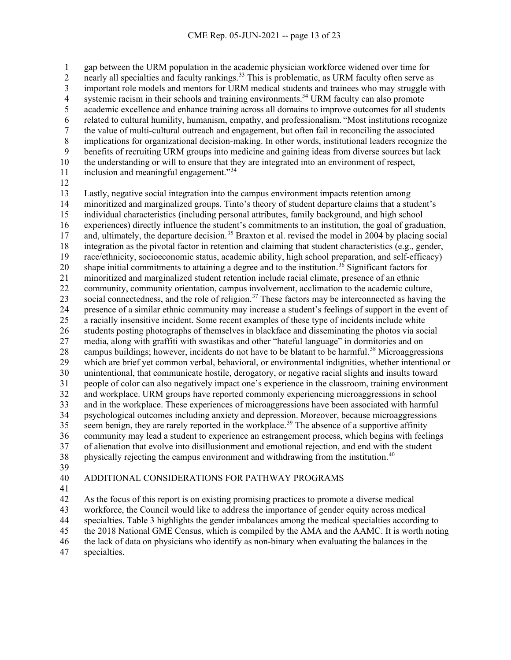gap between the URM population in the academic physician workforce widened over time for 2 nearly all specialties and faculty rankings.<sup>[33](#page-24-3)</sup> This is problematic, as URM faculty often serve as important role models and mentors for URM medical students and trainees who may struggle with systemic racism in their schools and training environments.<sup>34</sup> URM faculty can also promote academic excellence and enhance training across all domains to improve outcomes for all students related to cultural humility, humanism, empathy, and professionalism. "Most institutions recognize the value of multi-cultural outreach and engagement, but often fail in reconciling the associated 8 implications for organizational decision-making. In other words, institutional leaders recognize the<br>9 benefits of recruiting URM groups into medicine and gaining ideas from diverse sources but lack benefits of recruiting URM groups into medicine and gaining ideas from diverse sources but lack the understanding or will to ensure that they are integrated into an environment of respect, 11 inclusion and meaningful engagement."

 Lastly, negative social integration into the campus environment impacts retention among minoritized and marginalized groups. Tinto's theory of student departure claims that a student's individual characteristics (including personal attributes, family background, and high school experiences) directly influence the student's commitments to an institution, the goal of graduation, 17 and, ultimately, the departure decision.<sup>[35](#page-24-5)</sup> Braxton et al. revised the model in 2004 by placing social 18 integration as the pivotal factor in retention and claiming that student characteristics (e.g., gender, race/ethnicity, socioeconomic status, academic ability, high school preparation, and self-efficacy) race/ethnicity, socioeconomic status, academic ability, high school preparation, and self-efficacy) 20 shape initial commitments to attaining a degree and to the institution.<sup>[36](#page-24-6)</sup> Significant factors for minoritized and marginalized student retention include racial climate, presence of an ethnic community, community orientation, campus involvement, acclimation to the academic culture, 23 social connectedness, and the role of religion.<sup>[37](#page-24-7)</sup> These factors may be interconnected as having the presence of a similar ethnic community may increase a student's feelings of support in the event of a racially insensitive incident. Some recent examples of these type of incidents include white students posting photographs of themselves in blackface and disseminating the photos via social media, along with graffiti with swastikas and other "hateful language" in dormitories and on 28 campus buildings; however, incidents do not have to be blatant to be harmful.<sup>[38](#page-24-8)</sup> Microaggressions which are brief yet common verbal, behavioral, or environmental indignities, whether intentional or unintentional, that communicate hostile, derogatory, or negative racial slights and insults toward people of color can also negatively impact one's experience in the classroom, training environment and workplace. URM groups have reported commonly experiencing microaggressions in school and in the workplace. These experiences of microaggressions have been associated with harmful psychological outcomes including anxiety and depression. Moreover, because microaggressions seem benign, they are rarely reported in the workplace.<sup>[39](#page-24-9)</sup> The absence of a supportive affinity community may lead a student to experience an estrangement process, which begins with feelings of alienation that evolve into disillusionment and emotional rejection, and end with the student 38 physically rejecting the campus environment and withdrawing from the institution.<sup>[40](#page-24-10)</sup> 

# ADDITIONAL CONSIDERATIONS FOR PATHWAY PROGRAMS

 As the focus of this report is on existing promising practices to promote a diverse medical workforce, the Council would like to address the importance of gender equity across medical specialties. Table 3 highlights the gender imbalances among the medical specialties according to the 2018 National GME Census, which is compiled by the AMA and the AAMC. It is worth noting

the lack of data on physicians who identify as non-binary when evaluating the balances in the

specialties.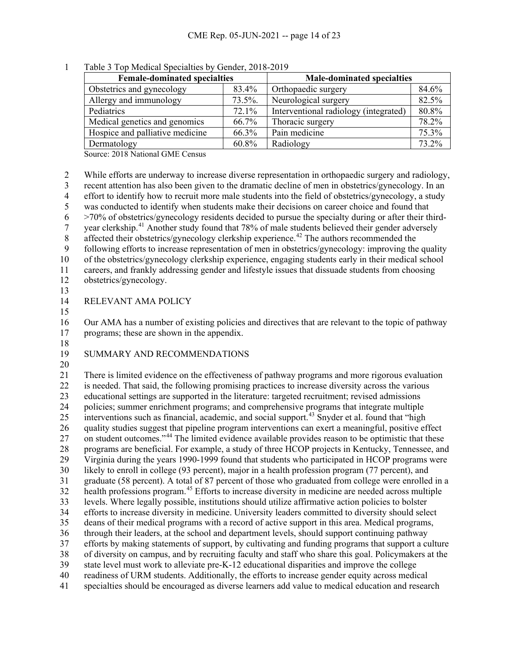| <b>Female-dominated specialties</b> |            | <b>Male-dominated specialties</b>     |       |
|-------------------------------------|------------|---------------------------------------|-------|
| Obstetrics and gynecology           | 83.4%      | Orthopaedic surgery                   | 84.6% |
| Allergy and immunology              | $73.5\%$ . | Neurological surgery                  | 82.5% |
| Pediatrics                          | 72.1%      | Interventional radiology (integrated) | 80.8% |
| Medical genetics and genomics       | 66.7%      | Thoracic surgery                      | 78.2% |
| Hospice and palliative medicine     | 66.3%      | Pain medicine                         | 75.3% |
| Dermatology                         | 60.8%      | Radiology                             | 73.2% |

Table 3 Top Medical Specialties by Gender, 2018-2019

Source: 2018 National GME Census

 While efforts are underway to increase diverse representation in orthopaedic surgery and radiology, recent attention has also been given to the dramatic decline of men in obstetrics/gynecology. In an 4 effort to identify how to recruit more male students into the field of obstetrics/gynecology, a study<br>5 was conducted to identify when students make their decisions on career choice and found that was conducted to identify when students make their decisions on career choice and found that  $6 \rightarrow 70\%$  of obstetrics/gynecology residents decided to pursue the specialty during or after their third- $\gamma$  year clerkship.<sup>[41](#page-24-11)</sup> Another study found that 78% of male students believed their gender adversely 8 affected their obstetrics/gynecology clerkship experience.<sup>[42](#page-24-12)</sup> The authors recommended the following efforts to increase representation of men in obstetrics/gynecology: improving the quality of the obstetrics/gynecology clerkship experience, engaging students early in their medical school careers, and frankly addressing gender and lifestyle issues that dissuade students from choosing obstetrics/gynecology. RELEVANT AMA POLICY Our AMA has a number of existing policies and directives that are relevant to the topic of pathway programs; these are shown in the appendix. SUMMARY AND RECOMMENDATIONS There is limited evidence on the effectiveness of pathway programs and more rigorous evaluation is needed. That said, the following promising practices to increase diversity across the various educational settings are supported in the literature: targeted recruitment; revised admissions policies; summer enrichment programs; and comprehensive programs that integrate multiple 25 interventions such as financial, academic, and social support.<sup>[43](#page-24-13)</sup> Snyder et al. found that "high quality studies suggest that pipeline program interventions can exert a meaningful, positive effect <sup>27</sup> on student outcomes."<sup>[44](#page-24-14)</sup> The limited evidence available provides reason to be optimistic that these programs are beneficial. For example, a study of three HCOP projects in Kentucky, Tennessee, and Virginia during the years 1990-1999 found that students who participated in HCOP programs were likely to enroll in college (93 percent), major in a health profession program (77 percent), and graduate (58 percent). A total of 87 percent of those who graduated from college were enrolled in a 32 health professions program.<sup>[45](#page-24-15)</sup> Efforts to increase diversity in medicine are needed across multiple levels. Where legally possible, institutions should utilize affirmative action policies to bolster efforts to increase diversity in medicine. University leaders committed to diversity should select deans of their medical programs with a record of active support in this area. Medical programs, through their leaders, at the school and department levels, should support continuing pathway efforts by making statements of support, by cultivating and funding programs that support a culture of diversity on campus, and by recruiting faculty and staff who share this goal. Policymakers at the state level must work to alleviate pre-K-12 educational disparities and improve the college readiness of URM students. Additionally, the efforts to increase gender equity across medical specialties should be encouraged as diverse learners add value to medical education and research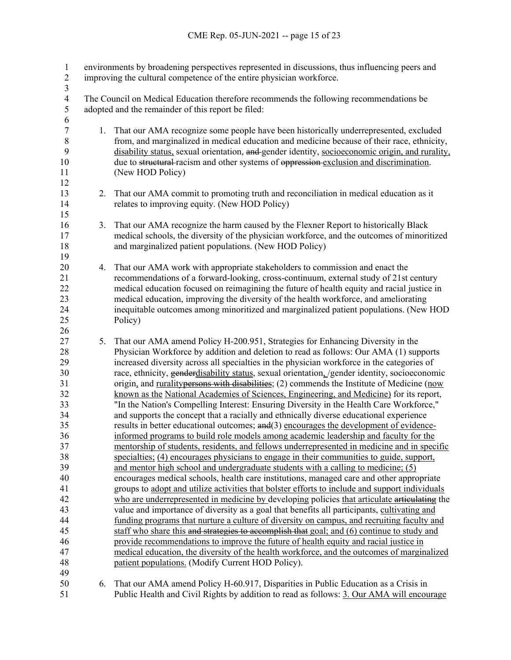| $\mathbf{1}$<br>$\overline{c}$                                                                                                         |                                                                                                                                              | environments by broadening perspectives represented in discussions, thus influencing peers and<br>improving the cultural competence of the entire physician workforce.                                                                                                                                                                                                                                                                                                                                                                                                                                                                                                                                                                                                                                                                                                                                                                                                                                                                                                                                                                                                                                                                                                                                                                                                                                                                                                                                                                                                                                                                                                                                                                                                                                                                                                                                                                                                                                                                                     |  |  |  |
|----------------------------------------------------------------------------------------------------------------------------------------|----------------------------------------------------------------------------------------------------------------------------------------------|------------------------------------------------------------------------------------------------------------------------------------------------------------------------------------------------------------------------------------------------------------------------------------------------------------------------------------------------------------------------------------------------------------------------------------------------------------------------------------------------------------------------------------------------------------------------------------------------------------------------------------------------------------------------------------------------------------------------------------------------------------------------------------------------------------------------------------------------------------------------------------------------------------------------------------------------------------------------------------------------------------------------------------------------------------------------------------------------------------------------------------------------------------------------------------------------------------------------------------------------------------------------------------------------------------------------------------------------------------------------------------------------------------------------------------------------------------------------------------------------------------------------------------------------------------------------------------------------------------------------------------------------------------------------------------------------------------------------------------------------------------------------------------------------------------------------------------------------------------------------------------------------------------------------------------------------------------------------------------------------------------------------------------------------------------|--|--|--|
| $\overline{3}$<br>$\overline{\mathbf{4}}$<br>5                                                                                         | The Council on Medical Education therefore recommends the following recommendations be<br>adopted and the remainder of this report be filed: |                                                                                                                                                                                                                                                                                                                                                                                                                                                                                                                                                                                                                                                                                                                                                                                                                                                                                                                                                                                                                                                                                                                                                                                                                                                                                                                                                                                                                                                                                                                                                                                                                                                                                                                                                                                                                                                                                                                                                                                                                                                            |  |  |  |
| 6<br>$\sqrt{ }$<br>$\,$ $\,$<br>9<br>10<br>11                                                                                          | 1.                                                                                                                                           | That our AMA recognize some people have been historically underrepresented, excluded<br>from, and marginalized in medical education and medicine because of their race, ethnicity,<br>disability status, sexual orientation, and gender identity, socioeconomic origin, and rurality,<br>due to structural-racism and other systems of oppression-exclusion and discrimination.<br>(New HOD Policy)                                                                                                                                                                                                                                                                                                                                                                                                                                                                                                                                                                                                                                                                                                                                                                                                                                                                                                                                                                                                                                                                                                                                                                                                                                                                                                                                                                                                                                                                                                                                                                                                                                                        |  |  |  |
| 12<br>13<br>14<br>15                                                                                                                   |                                                                                                                                              | 2. That our AMA commit to promoting truth and reconciliation in medical education as it<br>relates to improving equity. (New HOD Policy)                                                                                                                                                                                                                                                                                                                                                                                                                                                                                                                                                                                                                                                                                                                                                                                                                                                                                                                                                                                                                                                                                                                                                                                                                                                                                                                                                                                                                                                                                                                                                                                                                                                                                                                                                                                                                                                                                                                   |  |  |  |
| 16<br>17<br>18<br>19                                                                                                                   | 3.                                                                                                                                           | That our AMA recognize the harm caused by the Flexner Report to historically Black<br>medical schools, the diversity of the physician workforce, and the outcomes of minoritized<br>and marginalized patient populations. (New HOD Policy)                                                                                                                                                                                                                                                                                                                                                                                                                                                                                                                                                                                                                                                                                                                                                                                                                                                                                                                                                                                                                                                                                                                                                                                                                                                                                                                                                                                                                                                                                                                                                                                                                                                                                                                                                                                                                 |  |  |  |
| 20<br>21<br>22<br>23<br>24<br>25<br>26                                                                                                 | 4.                                                                                                                                           | That our AMA work with appropriate stakeholders to commission and enact the<br>recommendations of a forward-looking, cross-continuum, external study of 21st century<br>medical education focused on reimagining the future of health equity and racial justice in<br>medical education, improving the diversity of the health workforce, and ameliorating<br>inequitable outcomes among minoritized and marginalized patient populations. (New HOD<br>Policy)                                                                                                                                                                                                                                                                                                                                                                                                                                                                                                                                                                                                                                                                                                                                                                                                                                                                                                                                                                                                                                                                                                                                                                                                                                                                                                                                                                                                                                                                                                                                                                                             |  |  |  |
| 27<br>28<br>29<br>30<br>31<br>32<br>33<br>34<br>35<br>36<br>37<br>38<br>39<br>40<br>41<br>42<br>43<br>44<br>45<br>46<br>47<br>48<br>49 | 5.                                                                                                                                           | That our AMA amend Policy H-200.951, Strategies for Enhancing Diversity in the<br>Physician Workforce by addition and deletion to read as follows: Our AMA (1) supports<br>increased diversity across all specialties in the physician workforce in the categories of<br>race, ethnicity, genderdisability status, sexual orientation, /gender identity, socioeconomic<br>origin, and ruralitypersons with disabilities; (2) commends the Institute of Medicine (now<br>known as the National Academies of Sciences, Engineering, and Medicine) for its report,<br>"In the Nation's Compelling Interest: Ensuring Diversity in the Health Care Workforce,"<br>and supports the concept that a racially and ethnically diverse educational experience<br>results in better educational outcomes; and(3) encourages the development of evidence-<br>informed programs to build role models among academic leadership and faculty for the<br>mentorship of students, residents, and fellows underrepresented in medicine and in specific<br>specialties; (4) encourages physicians to engage in their communities to guide, support,<br>and mentor high school and undergraduate students with a calling to medicine; (5)<br>encourages medical schools, health care institutions, managed care and other appropriate<br>groups to adopt and utilize activities that bolster efforts to include and support individuals<br>who are underrepresented in medicine by developing policies that articulate articulating the<br>value and importance of diversity as a goal that benefits all participants, cultivating and<br>funding programs that nurture a culture of diversity on campus, and recruiting faculty and<br>staff who share this and strategies to accomplish that goal; and (6) continue to study and<br>provide recommendations to improve the future of health equity and racial justice in<br>medical education, the diversity of the health workforce, and the outcomes of marginalized<br>patient populations. (Modify Current HOD Policy). |  |  |  |
| 50<br>51                                                                                                                               | 6.                                                                                                                                           | That our AMA amend Policy H-60.917, Disparities in Public Education as a Crisis in<br>Public Health and Civil Rights by addition to read as follows: 3. Our AMA will encourage                                                                                                                                                                                                                                                                                                                                                                                                                                                                                                                                                                                                                                                                                                                                                                                                                                                                                                                                                                                                                                                                                                                                                                                                                                                                                                                                                                                                                                                                                                                                                                                                                                                                                                                                                                                                                                                                             |  |  |  |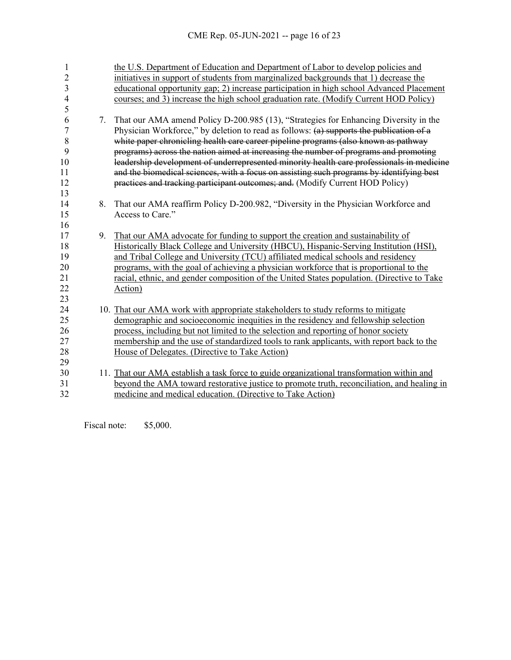| 1<br>$\overline{c}$<br>3<br>4<br>5 |    | the U.S. Department of Education and Department of Labor to develop policies and<br>initiatives in support of students from marginalized backgrounds that 1) decrease the<br>educational opportunity gap; 2) increase participation in high school Advanced Placement<br>courses; and 3) increase the high school graduation rate. (Modify Current HOD Policy) |
|------------------------------------|----|----------------------------------------------------------------------------------------------------------------------------------------------------------------------------------------------------------------------------------------------------------------------------------------------------------------------------------------------------------------|
| 6                                  | 7. | That our AMA amend Policy D-200.985 (13), "Strategies for Enhancing Diversity in the                                                                                                                                                                                                                                                                           |
| 7                                  |    | Physician Workforce," by deletion to read as follows: $(a)$ supports the publication of a                                                                                                                                                                                                                                                                      |
| 8                                  |    | white paper chronicling health care career pipeline programs (also known as pathway                                                                                                                                                                                                                                                                            |
| 9                                  |    | programs) across the nation aimed at increasing the number of programs and promoting                                                                                                                                                                                                                                                                           |
| 10                                 |    | leadership development of underrepresented minority health care professionals in medicine                                                                                                                                                                                                                                                                      |
| 11                                 |    | and the biomedical sciences, with a focus on assisting such programs by identifying best                                                                                                                                                                                                                                                                       |
| 12                                 |    | practices and tracking participant outcomes; and. (Modify Current HOD Policy)                                                                                                                                                                                                                                                                                  |
| 13                                 |    |                                                                                                                                                                                                                                                                                                                                                                |
| 14                                 | 8. | That our AMA reaffirm Policy D-200.982, "Diversity in the Physician Workforce and                                                                                                                                                                                                                                                                              |
| 15                                 |    | Access to Care."                                                                                                                                                                                                                                                                                                                                               |
| 16                                 |    |                                                                                                                                                                                                                                                                                                                                                                |
| 17                                 | 9. | That our AMA advocate for funding to support the creation and sustainability of                                                                                                                                                                                                                                                                                |
| 18                                 |    | Historically Black College and University (HBCU), Hispanic-Serving Institution (HSI),                                                                                                                                                                                                                                                                          |
| 19                                 |    | and Tribal College and University (TCU) affiliated medical schools and residency                                                                                                                                                                                                                                                                               |
| 20                                 |    | programs, with the goal of achieving a physician workforce that is proportional to the                                                                                                                                                                                                                                                                         |
| 21                                 |    | racial, ethnic, and gender composition of the United States population. (Directive to Take                                                                                                                                                                                                                                                                     |
| 22                                 |    | Action)                                                                                                                                                                                                                                                                                                                                                        |
| 23                                 |    |                                                                                                                                                                                                                                                                                                                                                                |
| 24                                 |    | 10. That our AMA work with appropriate stakeholders to study reforms to mitigate                                                                                                                                                                                                                                                                               |
| 25                                 |    | demographic and socioeconomic inequities in the residency and fellowship selection                                                                                                                                                                                                                                                                             |
| 26                                 |    | process, including but not limited to the selection and reporting of honor society                                                                                                                                                                                                                                                                             |
| 27                                 |    | membership and the use of standardized tools to rank applicants, with report back to the                                                                                                                                                                                                                                                                       |
| 28                                 |    | House of Delegates. (Directive to Take Action)                                                                                                                                                                                                                                                                                                                 |
| 29                                 |    |                                                                                                                                                                                                                                                                                                                                                                |
| 30                                 |    | 11. That our AMA establish a task force to guide organizational transformation within and                                                                                                                                                                                                                                                                      |
| 31                                 |    | beyond the AMA toward restorative justice to promote truth, reconciliation, and healing in                                                                                                                                                                                                                                                                     |
| 32                                 |    | medicine and medical education. (Directive to Take Action)                                                                                                                                                                                                                                                                                                     |

Fiscal note: \$5,000.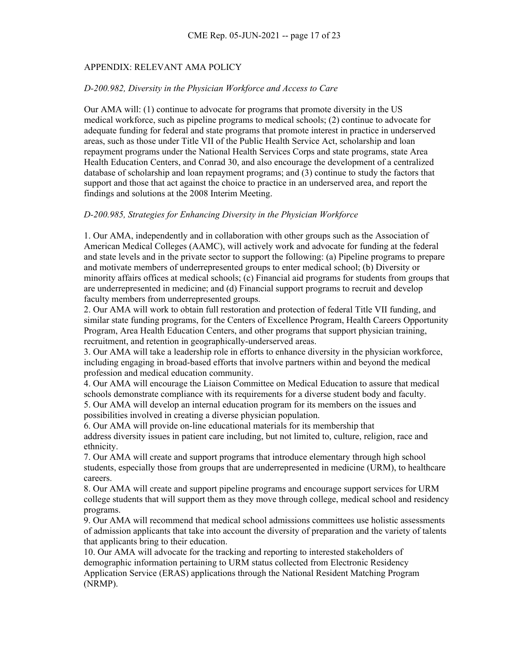# APPENDIX: RELEVANT AMA POLICY

#### *D-200.982, Diversity in the Physician Workforce and Access to Care*

Our AMA will: (1) continue to advocate for programs that promote diversity in the US medical workforce, such as pipeline programs to medical schools; (2) continue to advocate for adequate funding for federal and state programs that promote interest in practice in underserved areas, such as those under Title VII of the Public Health Service Act, scholarship and loan repayment programs under the National Health Services Corps and state programs, state Area Health Education Centers, and Conrad 30, and also encourage the development of a centralized database of scholarship and loan repayment programs; and (3) continue to study the factors that support and those that act against the choice to practice in an underserved area, and report the findings and solutions at the 2008 Interim Meeting.

#### *D-200.985, Strategies for Enhancing Diversity in the Physician Workforce*

1. Our AMA, independently and in collaboration with other groups such as the Association of American Medical Colleges (AAMC), will actively work and advocate for funding at the federal and state levels and in the private sector to support the following: (a) Pipeline programs to prepare and motivate members of underrepresented groups to enter medical school; (b) Diversity or minority affairs offices at medical schools; (c) Financial aid programs for students from groups that are underrepresented in medicine; and (d) Financial support programs to recruit and develop faculty members from underrepresented groups.

2. Our AMA will work to obtain full restoration and protection of federal Title VII funding, and similar state funding programs, for the Centers of Excellence Program, Health Careers Opportunity Program, Area Health Education Centers, and other programs that support physician training, recruitment, and retention in geographically-underserved areas.

3. Our AMA will take a leadership role in efforts to enhance diversity in the physician workforce, including engaging in broad-based efforts that involve partners within and beyond the medical profession and medical education community.

4. Our AMA will encourage the Liaison Committee on Medical Education to assure that medical schools demonstrate compliance with its requirements for a diverse student body and faculty. 5. Our AMA will develop an internal education program for its members on the issues and

possibilities involved in creating a diverse physician population.

6. Our AMA will provide on-line educational materials for its membership that address diversity issues in patient care including, but not limited to, culture, religion, race and ethnicity.

7. Our AMA will create and support programs that introduce elementary through high school students, especially those from groups that are underrepresented in medicine (URM), to healthcare careers.

8. Our AMA will create and support pipeline programs and encourage support services for URM college students that will support them as they move through college, medical school and residency programs.

9. Our AMA will recommend that medical school admissions committees use holistic assessments of admission applicants that take into account the diversity of preparation and the variety of talents that applicants bring to their education.

10. Our AMA will advocate for the tracking and reporting to interested stakeholders of demographic information pertaining to URM status collected from Electronic Residency Application Service (ERAS) applications through the National Resident Matching Program (NRMP).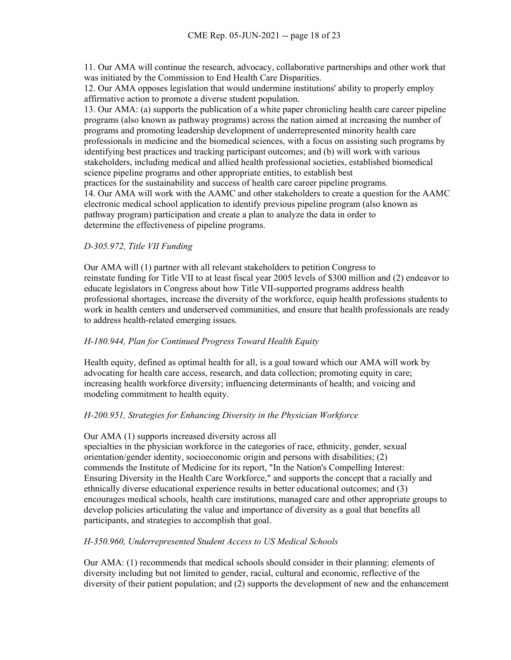11. Our AMA will continue the research, advocacy, collaborative partnerships and other work that was initiated by the Commission to End Health Care Disparities.

12. Our AMA opposes legislation that would undermine institutions' ability to properly employ affirmative action to promote a diverse student population.

13. Our AMA: (a) supports the publication of a white paper chronicling health care career pipeline programs (also known as pathway programs) across the nation aimed at increasing the number of programs and promoting leadership development of underrepresented minority health care professionals in medicine and the biomedical sciences, with a focus on assisting such programs by identifying best practices and tracking participant outcomes; and (b) will work with various stakeholders, including medical and allied health professional societies, established biomedical science pipeline programs and other appropriate entities, to establish best

practices for the sustainability and success of health care career pipeline programs.

14. Our AMA will work with the AAMC and other stakeholders to create a question for the AAMC electronic medical school application to identify previous pipeline program (also known as pathway program) participation and create a plan to analyze the data in order to determine the effectiveness of pipeline programs.

# *D-305.972, Title VII Funding*

Our AMA will (1) partner with all relevant stakeholders to petition Congress to reinstate funding for Title VII to at least fiscal year 2005 levels of \$300 million and (2) endeavor to educate legislators in Congress about how Title VII-supported programs address health professional shortages, increase the diversity of the workforce, equip health professions students to work in health centers and underserved communities, and ensure that health professionals are ready to address health-related emerging issues.

# *H-180.944, Plan for Continued Progress Toward Health Equity*

Health equity, defined as optimal health for all, is a goal toward which our AMA will work by advocating for health care access, research, and data collection; promoting equity in care; increasing health workforce diversity; influencing determinants of health; and voicing and modeling commitment to health equity.

# *H-200.951, Strategies for Enhancing Diversity in the Physician Workforce*

# Our AMA (1) supports increased diversity across all

specialties in the physician workforce in the categories of race, ethnicity, gender, sexual orientation/gender identity, socioeconomic origin and persons with disabilities; (2) commends the Institute of Medicine for its report, "In the Nation's Compelling Interest: Ensuring Diversity in the Health Care Workforce," and supports the concept that a racially and ethnically diverse educational experience results in better educational outcomes; and (3) encourages medical schools, health care institutions, managed care and other appropriate groups to develop policies articulating the value and importance of diversity as a goal that benefits all participants, and strategies to accomplish that goal.

# *H-350.960, Underrepresented Student Access to US Medical Schools*

Our AMA: (1) recommends that medical schools should consider in their planning: elements of diversity including but not limited to gender, racial, cultural and economic, reflective of the diversity of their patient population; and (2) supports the development of new and the enhancement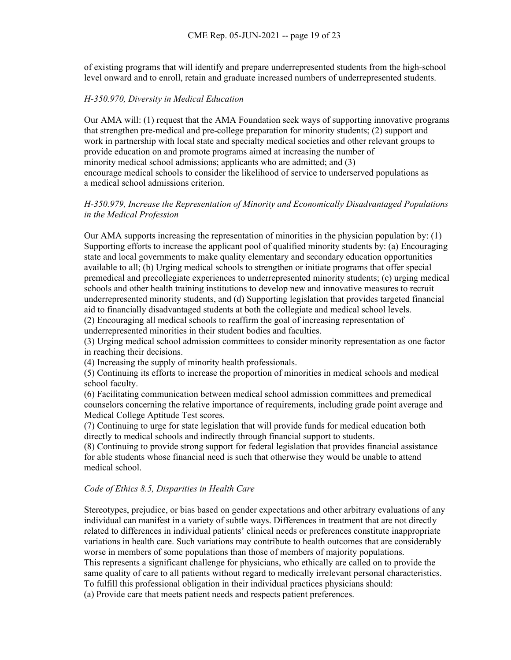of existing programs that will identify and prepare underrepresented students from the high-school level onward and to enroll, retain and graduate increased numbers of underrepresented students.

#### *H-350.970, Diversity in Medical Education*

Our AMA will: (1) request that the AMA Foundation seek ways of supporting innovative programs that strengthen pre-medical and pre-college preparation for minority students; (2) support and work in partnership with local state and specialty medical societies and other relevant groups to provide education on and promote programs aimed at increasing the number of minority medical school admissions; applicants who are admitted; and (3) encourage medical schools to consider the likelihood of service to underserved populations as a medical school admissions criterion.

### *H-350.979, Increase the Representation of Minority and Economically Disadvantaged Populations in the Medical Profession*

Our AMA supports increasing the representation of minorities in the physician population by: (1) Supporting efforts to increase the applicant pool of qualified minority students by: (a) Encouraging state and local governments to make quality elementary and secondary education opportunities available to all; (b) Urging medical schools to strengthen or initiate programs that offer special premedical and precollegiate experiences to underrepresented minority students; (c) urging medical schools and other health training institutions to develop new and innovative measures to recruit underrepresented minority students, and (d) Supporting legislation that provides targeted financial aid to financially disadvantaged students at both the collegiate and medical school levels.

(2) Encouraging all medical schools to reaffirm the goal of increasing representation of underrepresented minorities in their student bodies and faculties.

(3) Urging medical school admission committees to consider minority representation as one factor in reaching their decisions.

(4) Increasing the supply of minority health professionals.

(5) Continuing its efforts to increase the proportion of minorities in medical schools and medical school faculty.

(6) Facilitating communication between medical school admission committees and premedical counselors concerning the relative importance of requirements, including grade point average and Medical College Aptitude Test scores.

(7) Continuing to urge for state legislation that will provide funds for medical education both directly to medical schools and indirectly through financial support to students.

(8) Continuing to provide strong support for federal legislation that provides financial assistance for able students whose financial need is such that otherwise they would be unable to attend medical school.

#### *Code of Ethics 8.5, Disparities in Health Care*

Stereotypes, prejudice, or bias based on gender expectations and other arbitrary evaluations of any individual can manifest in a variety of subtle ways. Differences in treatment that are not directly related to differences in individual patients' clinical needs or preferences constitute inappropriate variations in health care. Such variations may contribute to health outcomes that are considerably worse in members of some populations than those of members of majority populations. This represents a significant challenge for physicians, who ethically are called on to provide the same quality of care to all patients without regard to medically irrelevant personal characteristics. To fulfill this professional obligation in their individual practices physicians should: (a) Provide care that meets patient needs and respects patient preferences.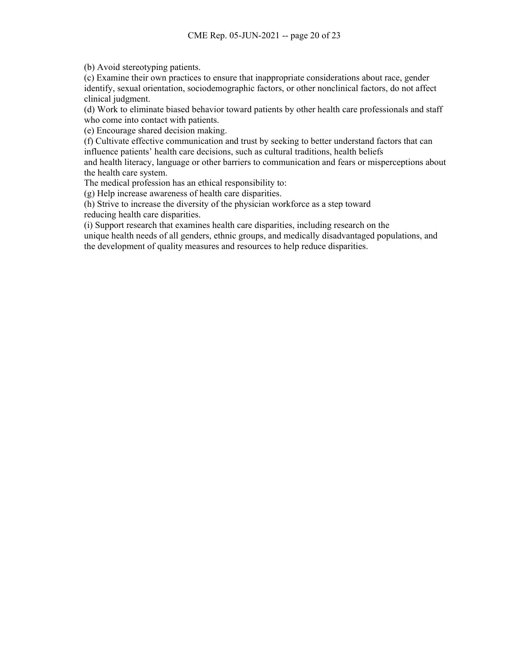(b) Avoid stereotyping patients.

(c) Examine their own practices to ensure that inappropriate considerations about race, gender identify, sexual orientation, sociodemographic factors, or other nonclinical factors, do not affect clinical judgment.

(d) Work to eliminate biased behavior toward patients by other health care professionals and staff who come into contact with patients.

(e) Encourage shared decision making.

(f) Cultivate effective communication and trust by seeking to better understand factors that can influence patients' health care decisions, such as cultural traditions, health beliefs

and health literacy, language or other barriers to communication and fears or misperceptions about the health care system.

The medical profession has an ethical responsibility to:

(g) Help increase awareness of health care disparities.

(h) Strive to increase the diversity of the physician workforce as a step toward

reducing health care disparities.

(i) Support research that examines health care disparities, including research on the

unique health needs of all genders, ethnic groups, and medically disadvantaged populations, and the development of quality measures and resources to help reduce disparities.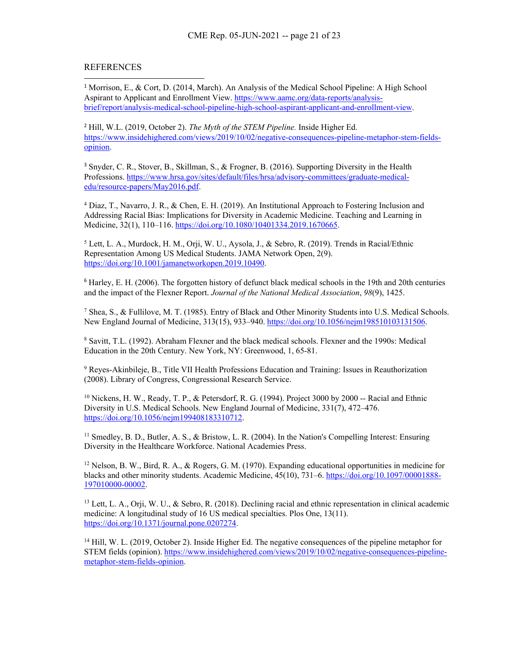### REFERENCES

<sup>1</sup> Morrison, E., & Cort, D. (2014, March). An Analysis of the Medical School Pipeline: A High School Aspirant to Applicant and Enrollment View. [https://www.aamc.org/data-reports/analysis](https://www.aamc.org/data-reports/analysis-brief/report/analysis-medical-school-pipeline-high-school-aspirant-applicant-and-enrollment-view)[brief/report/analysis-medical-school-pipeline-high-school-aspirant-applicant-and-enrollment-view.](https://www.aamc.org/data-reports/analysis-brief/report/analysis-medical-school-pipeline-high-school-aspirant-applicant-and-enrollment-view)

<sup>2</sup> Hill, W.L. (2019, October 2). *The Myth of the STEM Pipeline.* Inside Higher Ed. [https://www.insidehighered.com/views/2019/10/02/negative-consequences-pipeline-metaphor-stem-fields](https://www.insidehighered.com/views/2019/10/02/negative-consequences-pipeline-metaphor-stem-fields-opinion)[opinion.](https://www.insidehighered.com/views/2019/10/02/negative-consequences-pipeline-metaphor-stem-fields-opinion)

<sup>3</sup> Snyder, C. R., Stover, B., Skillman, S., & Frogner, B. (2016). Supporting Diversity in the Health Professions. [https://www.hrsa.gov/sites/default/files/hrsa/advisory-committees/graduate-medical](https://www.hrsa.gov/sites/default/files/hrsa/advisory-committees/graduate-medical-edu/resource-papers/May2016.pdf)[edu/resource-papers/May2016.pdf.](https://www.hrsa.gov/sites/default/files/hrsa/advisory-committees/graduate-medical-edu/resource-papers/May2016.pdf)

<sup>4</sup> Diaz, T., Navarro, J. R., & Chen, E. H. (2019). An Institutional Approach to Fostering Inclusion and Addressing Racial Bias: Implications for Diversity in Academic Medicine. Teaching and Learning in Medicine, 32(1), 110–116. [https://doi.org/10.1080/10401334.2019.1670665.](https://doi.org/10.1080/10401334.2019.1670665)

<sup>5</sup> Lett, L. A., Murdock, H. M., Orji, W. U., Aysola, J., & Sebro, R. (2019). Trends in Racial/Ethnic Representation Among US Medical Students. JAMA Network Open, 2(9). [https://doi.org/10.1001/jamanetworkopen.2019.10490.](https://doi.org/10.1001/jamanetworkopen.2019.10490)

<sup>6</sup> Harley, E. H. (2006). The forgotten history of defunct black medical schools in the 19th and 20th centuries and the impact of the Flexner Report. *Journal of the National Medical Association*, *98*(9), 1425.

<sup>7</sup> Shea, S., & Fullilove, M. T. (1985). Entry of Black and Other Minority Students into U.S. Medical Schools. New England Journal of Medicine, 313(15), 933–940. [https://doi.org/10.1056/nejm198510103131506.](https://doi.org/10.1056/nejm198510103131506)

<sup>8</sup> Savitt, T.L. (1992). Abraham Flexner and the black medical schools. Flexner and the 1990s: Medical Education in the 20th Century. New York, NY: Greenwood, 1, 65-81.

<sup>9</sup> Reyes-Akinbileje, B., Title VII Health Professions Education and Training: Issues in Reauthorization (2008). Library of Congress, Congressional Research Service.

<sup>10</sup> Nickens, H. W., Ready, T. P., & Petersdorf, R. G. (1994). Project 3000 by 2000 -- Racial and Ethnic Diversity in U.S. Medical Schools. New England Journal of Medicine, 331(7), 472–476. [https://doi.org/10.1056/nejm199408183310712.](https://doi.org/10.1056/nejm199408183310712)

<sup>11</sup> Smedley, B. D., Butler, A. S., & Bristow, L. R. (2004). In the Nation's Compelling Interest: Ensuring Diversity in the Healthcare Workforce. National Academies Press.

 $12$  Nelson, B. W., Bird, R. A., & Rogers, G. M. (1970). Expanding educational opportunities in medicine for blacks and other minority students. Academic Medicine, 45(10), 731–6. [https://doi.org/10.1097/00001888-](https://doi.org/10.1097/00001888-197010000-00002) [197010000-00002.](https://doi.org/10.1097/00001888-197010000-00002)

<sup>13</sup> Lett, L. A., Orji, W. U., & Sebro, R. (2018). Declining racial and ethnic representation in clinical academic medicine: A longitudinal study of 16 US medical specialties. Plos One, 13(11). [https://doi.org/10.1371/journal.pone.0207274.](https://doi.org/10.1371/journal.pone.0207274)

<sup>14</sup> Hill, W. L. (2019, October 2). Inside Higher Ed. The negative consequences of the pipeline metaphor for STEM fields (opinion). [https://www.insidehighered.com/views/2019/10/02/negative-consequences-pipeline](https://www.insidehighered.com/views/2019/10/02/negative-consequences-pipeline-metaphor-stem-fields-opinion)[metaphor-stem-fields-opinion.](https://www.insidehighered.com/views/2019/10/02/negative-consequences-pipeline-metaphor-stem-fields-opinion)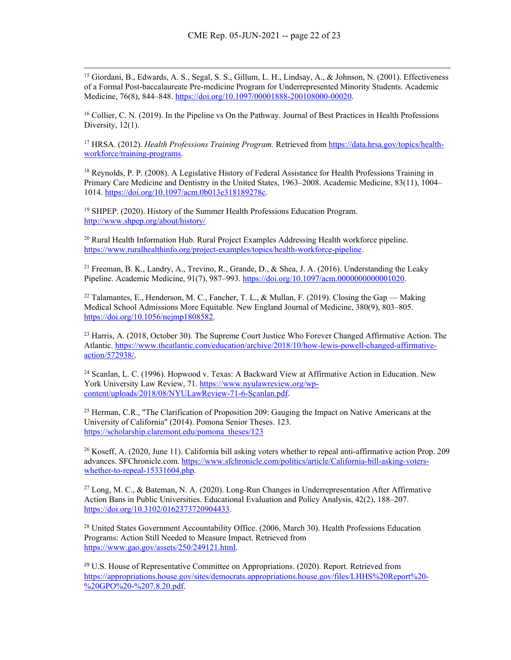<span id="page-22-0"></span><sup>15</sup> Giordani, B., Edwards, A. S., Segal, S. S., Gillum, L. H., Lindsay, A., & Johnson, N. (2001). Effectiveness of a Formal Post-baccalaureate Pre-medicine Program for Underrepresented Minority Students. Academic Medicine, 76(8), 844–848. [https://doi.org/10.1097/00001888-200108000-00020.](https://doi.org/10.1097/00001888-200108000-00020) 

<span id="page-22-1"></span><sup>16</sup> Collier, C. N. (2019). In the Pipeline vs On the Pathway. Journal of Best Practices in Health Professions Diversity, 12(1).

<sup>17</sup> HRSA. (2012). *Health Professions Training Program.* Retrieved from [https://data.hrsa.gov/topics/health](https://data.hrsa.gov/topics/health-workforce/training-programs)[workforce/training-programs.](https://data.hrsa.gov/topics/health-workforce/training-programs)

<span id="page-22-2"></span><sup>18</sup> Reynolds, P. P. (2008). A Legislative History of Federal Assistance for Health Professions Training in Primary Care Medicine and Dentistry in the United States, 1963–2008. Academic Medicine, 83(11), 1004– 1014. [https://doi.org/10.1097/acm.0b013e318189278c.](https://doi.org/10.1097/acm.0b013e318189278c)

<span id="page-22-3"></span><sup>19</sup> SHPEP. (2020). History of the Summer Health Professions Education Program. <http://www.shpep.org/about/history/>

<span id="page-22-4"></span><sup>20</sup> Rural Health Information Hub. Rural Project Examples Addressing Health workforce pipeline. [https://www.ruralhealthinfo.org/project-examples/topics/health-workforce-pipeline.](https://www.ruralhealthinfo.org/project-examples/topics/health-workforce-pipeline)

<span id="page-22-5"></span><sup>21</sup> Freeman, B. K., Landry, A., Trevino, R., Grande, D., & Shea, J. A. (2016). Understanding the Leaky Pipeline. Academic Medicine, 91(7), 987–993. [https://doi.org/10.1097/acm.0000000000001020.](https://doi.org/10.1097/acm.0000000000001020)

<span id="page-22-6"></span><sup>22</sup> Talamantes, E., Henderson, M. C., Fancher, T. L., & Mullan, F. (2019). Closing the Gap — Making Medical School Admissions More Equitable. New England Journal of Medicine, 380(9), 803–805. [https://doi.org/10.1056/nejmp1808582.](https://doi.org/10.1056/nejmp1808582)

<span id="page-22-7"></span><sup>23</sup> Harris, A. (2018, October 30). The Supreme Court Justice Who Forever Changed Affirmative Action. The Atlantic. [https://www.theatlantic.com/education/archive/2018/10/how-lewis-powell-changed-affirmative](https://www.theatlantic.com/education/archive/2018/10/how-lewis-powell-changed-affirmative-action/572938/)[action/572938/.](https://www.theatlantic.com/education/archive/2018/10/how-lewis-powell-changed-affirmative-action/572938/)

<span id="page-22-8"></span><sup>24</sup> Scanlan, L. C. (1996). Hopwood v. Texas: A Backward View at Affirmative Action in Education. New York University Law Review, 71. [https://www.nyulawreview.org/wp](https://www.nyulawreview.org/wp-content/uploads/2018/08/NYULawReview-71-6-Scanlan.pdf)[content/uploads/2018/08/NYULawReview-71-6-Scanlan.pdf.](https://www.nyulawreview.org/wp-content/uploads/2018/08/NYULawReview-71-6-Scanlan.pdf)

<span id="page-22-9"></span><sup>25</sup> Herman, C.R., "The Clarification of Proposition 209: Gauging the Impact on Native Americans at the University of California" (2014). Pomona Senior Theses. 123. [https://scholarship.claremont.edu/pomona\\_theses/123](https://scholarship.claremont.edu/pomona_theses/123)

<span id="page-22-11"></span><span id="page-22-10"></span><sup>26</sup> Koseff, A. (2020, June 11). California bill asking voters whether to repeal anti-affirmative action Prop. 209 advances. SFChronicle.com[. https://www.sfchronicle.com/politics/article/California-bill-asking-voters](https://www.sfchronicle.com/politics/article/California-bill-asking-voters-whether-to-repeal-15331604.php)[whether-to-repeal-15331604.php.](https://www.sfchronicle.com/politics/article/California-bill-asking-voters-whether-to-repeal-15331604.php)

<span id="page-22-12"></span><sup>27</sup> Long, M. C., & Bateman, N. A. (2020). Long-Run Changes in Underrepresentation After Affirmative Action Bans in Public Universities. Educational Evaluation and Policy Analysis, 42(2), 188–207. [https://doi.org/10.3102/0162373720904433.](https://doi.org/10.3102/0162373720904433)

<span id="page-22-13"></span><sup>28</sup> United States Government Accountability Office. (2006, March 30). Health Professions Education Programs: Action Still Needed to Measure Impact. Retrieved from [https://www.gao.gov/assets/250/249121.html.](https://www.gao.gov/assets/250/249121.html)

<sup>29</sup> U.S. House of Representative Committee on Appropriations. (2020). Report. Retrieved from [https://appropriations.house.gov/sites/democrats.appropriations.house.gov/files/LHHS%20Report%20-](https://appropriations.house.gov/sites/democrats.appropriations.house.gov/files/LHHS%20Report%20-%20GPO%20-%207.8.20.pdf) [%20GPO%20-%207.8.20.pdf.](https://appropriations.house.gov/sites/democrats.appropriations.house.gov/files/LHHS%20Report%20-%20GPO%20-%207.8.20.pdf)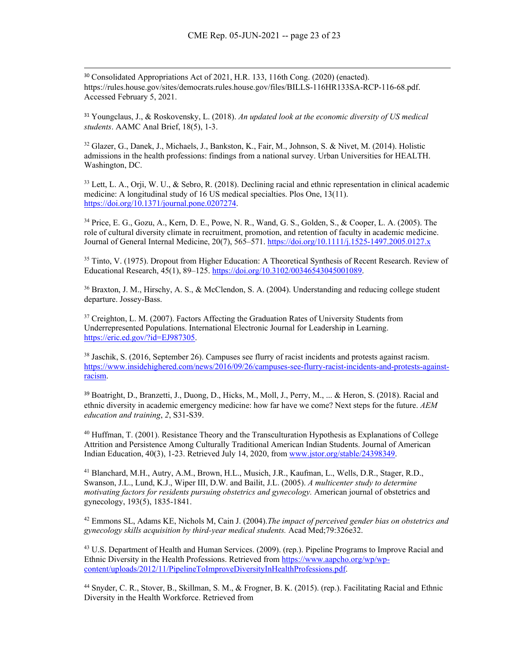<span id="page-23-0"></span><sup>30</sup> Consolidated Appropriations Act of 2021, H.R. 133, 116th Cong. (2020) (enacted). https://rules.house.gov/sites/democrats.rules.house.gov/files/BILLS-116HR133SA-RCP-116-68.pdf. Accessed February 5, 2021.

<span id="page-23-1"></span><sup>31</sup> Youngclaus, J., & Roskovensky, L. (2018). *An updated look at the economic diversity of US medical students*. AAMC Anal Brief, 18(5), 1-3.

<span id="page-23-2"></span><sup>32</sup> Glazer, G., Danek, J., Michaels, J., Bankston, K., Fair, M., Johnson, S. & Nivet, M. (2014). Holistic admissions in the health professions: findings from a national survey. Urban Universities for HEALTH. Washington, DC.

<span id="page-23-3"></span><sup>33</sup> Lett, L. A., Orji, W. U., & Sebro, R. (2018). Declining racial and ethnic representation in clinical academic medicine: A longitudinal study of 16 US medical specialties. Plos One, 13(11). [https://doi.org/10.1371/journal.pone.0207274.](https://doi.org/10.1371/journal.pone.0207274)

<span id="page-23-5"></span><span id="page-23-4"></span><sup>34</sup> Price, E. G., Gozu, A., Kern, D. E., Powe, N. R., Wand, G. S., Golden, S., & Cooper, L. A. (2005). The role of cultural diversity climate in recruitment, promotion, and retention of faculty in academic medicine. Journal of General Internal Medicine, 20(7), 565–571[. https://doi.org/10.1111/j.1525-1497.2005.0127.x](https://doi.org/10.1111/j.1525-1497.2005.0127.x)

<span id="page-23-6"></span><sup>35</sup> Tinto, V. (1975). Dropout from Higher Education: A Theoretical Synthesis of Recent Research. Review of Educational Research, 45(1), 89–125. [https://doi.org/10.3102/00346543045001089.](https://doi.org/10.3102/00346543045001089)

<span id="page-23-7"></span><sup>36</sup> Braxton, J. M., Hirschy, A. S., & McClendon, S. A. (2004). Understanding and reducing college student departure. Jossey-Bass.

<span id="page-23-8"></span><sup>37</sup> Creighton, L. M. (2007). Factors Affecting the Graduation Rates of University Students from Underrepresented Populations. International Electronic Journal for Leadership in Learning. [https://eric.ed.gov/?id=EJ987305.](https://eric.ed.gov/?id=EJ987305)

<span id="page-23-9"></span><sup>38</sup> Jaschik, S. (2016, September 26). Campuses see flurry of racist incidents and protests against racism. [https://www.insidehighered.com/news/2016/09/26/campuses-see-flurry-racist-incidents-and-protests-against](https://www.insidehighered.com/news/2016/09/26/campuses-see-flurry-racist-incidents-and-protests-against-racism)[racism.](https://www.insidehighered.com/news/2016/09/26/campuses-see-flurry-racist-incidents-and-protests-against-racism)

<span id="page-23-10"></span><sup>39</sup> Boatright, D., Branzetti, J., Duong, D., Hicks, M., Moll, J., Perry, M., ... & Heron, S. (2018). Racial and ethnic diversity in academic emergency medicine: how far have we come? Next steps for the future. *AEM education and training*, *2*, S31-S39.

<span id="page-23-11"></span><sup>40</sup> Huffman, T. (2001). Resistance Theory and the Transculturation Hypothesis as Explanations of College Attrition and Persistence Among Culturally Traditional American Indian Students. Journal of American Indian Education, 40(3), 1-23. Retrieved July 14, 2020, from [www.jstor.org/stable/24398349.](http://www.jstor.org/stable/24398349)

<span id="page-23-12"></span><sup>41</sup> Blanchard, M.H., Autry, A.M., Brown, H.L., Musich, J.R., Kaufman, L., Wells, D.R., Stager, R.D., Swanson, J.L., Lund, K.J., Wiper III, D.W. and Bailit, J.L. (2005). *A multicenter study to determine motivating factors for residents pursuing obstetrics and gynecology.* American journal of obstetrics and gynecology, 193(5), 1835-1841.

<span id="page-23-13"></span><sup>42</sup> Emmons SL, Adams KE, Nichols M, Cain J. (2004).*The impact of perceived gender bias on obstetrics and gynecology skills acquisition by third-year medical students.* Acad Med;79:326e32.

<span id="page-23-14"></span><sup>43</sup> U.S. Department of Health and Human Services. (2009). (rep.). Pipeline Programs to Improve Racial and Ethnic Diversity in the Health Professions. Retrieved fro[m https://www.aapcho.org/wp/wp](https://www.aapcho.org/wp/wp-content/uploads/2012/11/PipelineToImproveDiversityInHealthProfessions.pdf)[content/uploads/2012/11/PipelineToImproveDiversityInHealthProfessions.pdf.](https://www.aapcho.org/wp/wp-content/uploads/2012/11/PipelineToImproveDiversityInHealthProfessions.pdf)

<sup>44</sup> Snyder, C. R., Stover, B., Skillman, S. M., & Frogner, B. K. (2015). (rep.). Facilitating Racial and Ethnic Diversity in the Health Workforce. Retrieved from